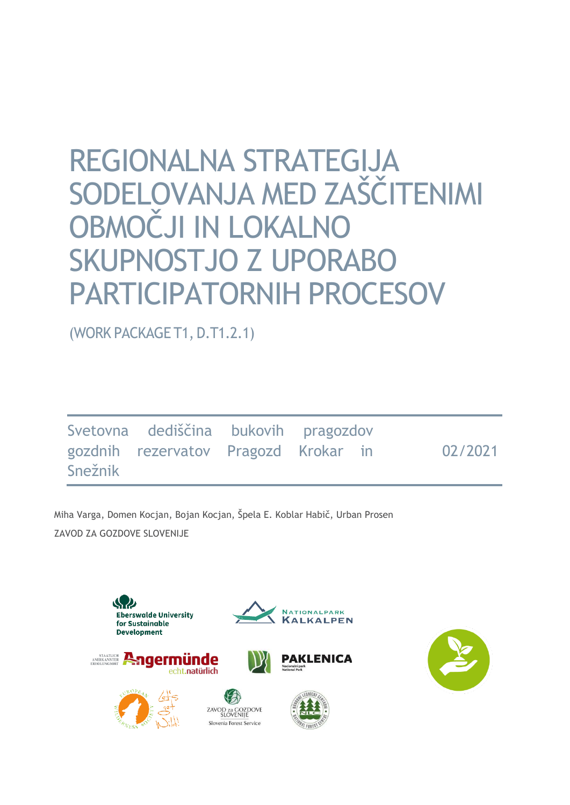# REGIONALNA STRATEGIJA SODELOVANJA MED ZAŠČITENIMI OBMOČJI IN LOKALNO SKUPNOSTJO Z UPORABO PARTICIPATORNIH PROCESOV

(WORK PACKAGE T1, D.T1.2.1)

|         | Svetovna dediščina bukovih pragozdov |  |         |
|---------|--------------------------------------|--|---------|
| Snežnik | gozdnih rezervatov Pragozd Krokar in |  | 02/2021 |

Miha Varga, Domen Kocjan, Bojan Kocjan, Špela E. Koblar Habič, Urban Prosen ZAVOD ZA GOZDOVE SLOVENIJE

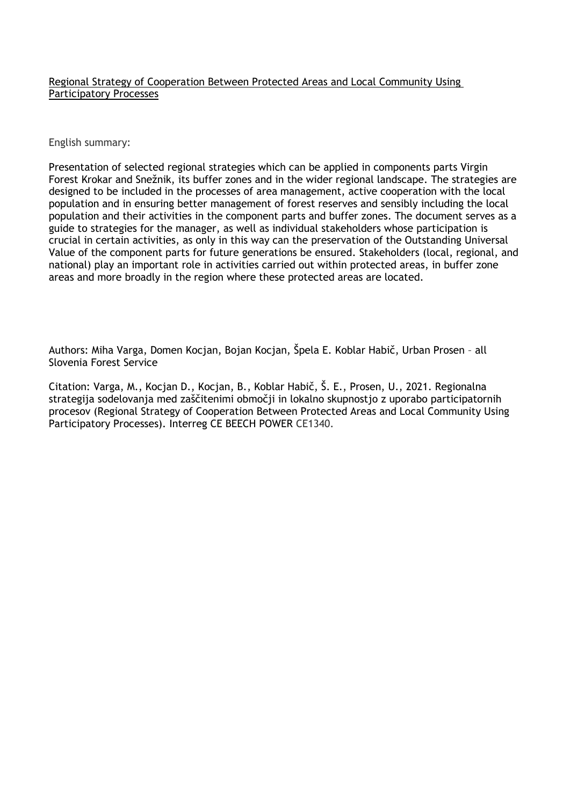#### Regional Strategy of Cooperation Between Protected Areas and Local Community Using Participatory Processes

English summary:

Presentation of selected regional strategies which can be applied in components parts Virgin Forest Krokar and Snežnik, its buffer zones and in the wider regional landscape. The strategies are designed to be included in the processes of area management, active cooperation with the local population and in ensuring better management of forest reserves and sensibly including the local population and their activities in the component parts and buffer zones. The document serves as a guide to strategies for the manager, as well as individual stakeholders whose participation is crucial in certain activities, as only in this way can the preservation of the Outstanding Universal Value of the component parts for future generations be ensured. Stakeholders (local, regional, and national) play an important role in activities carried out within protected areas, in buffer zone areas and more broadly in the region where these protected areas are located.

Authors: Miha Varga, Domen Kocjan, Bojan Kocjan, Špela E. Koblar Habič, Urban Prosen – all Slovenia Forest Service

Citation: Varga, M., Kocjan D., Kocjan, B., Koblar Habič, Š. E., Prosen, U., 2021. Regionalna strategija sodelovanja med zaščitenimi območji in lokalno skupnostjo z uporabo participatornih procesov (Regional Strategy of Cooperation Between Protected Areas and Local Community Using Participatory Processes). Interreg CE BEECH POWER CE1340.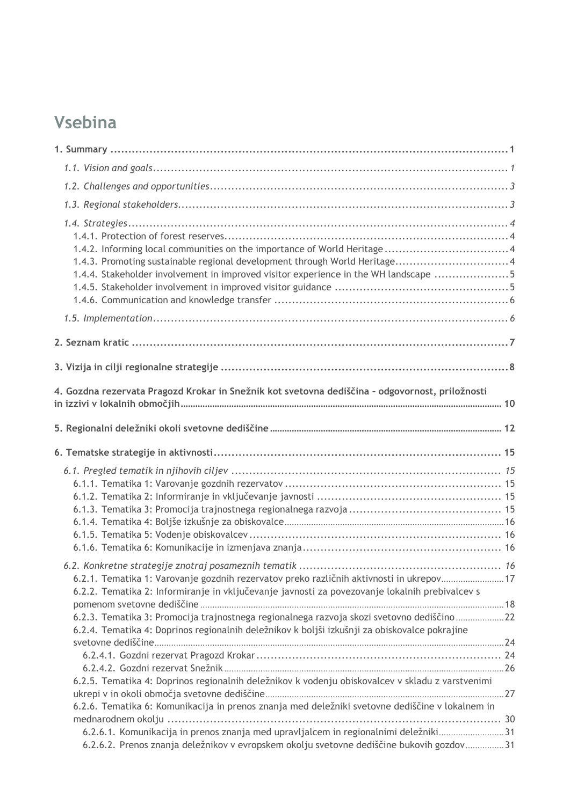## **Vsebina**

| 1.4.3. Promoting sustainable regional development through World Heritage 4<br>1.4.4. Stakeholder involvement in improved visitor experience in the WH landscape 5                                                                                                                                                                                                                         |  |
|-------------------------------------------------------------------------------------------------------------------------------------------------------------------------------------------------------------------------------------------------------------------------------------------------------------------------------------------------------------------------------------------|--|
|                                                                                                                                                                                                                                                                                                                                                                                           |  |
|                                                                                                                                                                                                                                                                                                                                                                                           |  |
|                                                                                                                                                                                                                                                                                                                                                                                           |  |
| 4. Gozdna rezervata Pragozd Krokar in Snežnik kot svetovna dediščina - odgovornost, priložnosti                                                                                                                                                                                                                                                                                           |  |
|                                                                                                                                                                                                                                                                                                                                                                                           |  |
|                                                                                                                                                                                                                                                                                                                                                                                           |  |
|                                                                                                                                                                                                                                                                                                                                                                                           |  |
| 6.2.1. Tematika 1: Varovanje gozdnih rezervatov preko različnih aktivnosti in ukrepov 17<br>6.2.2. Tematika 2: Informiranje in vključevanje javnosti za povezovanje lokalnih prebivalcev s<br>6.2.3. Tematika 3: Promocija trajnostnega regionalnega razvoja skozi svetovno dediščino 22<br>6.2.4. Tematika 4: Doprinos regionalnih deležnikov k boljši izkušnji za obiskovalce pokrajine |  |
| 6.2.5. Tematika 4: Doprinos regionalnih deležnikov k vodenju obiskovalcev v skladu z varstvenimi<br>6.2.6. Tematika 6: Komunikacija in prenos znanja med deležniki svetovne dediščine v lokalnem in<br>6.2.6.1. Komunikacija in prenos znanja med upravljalcem in regionalnimi deležniki31                                                                                                |  |
| 6.2.6.2. Prenos znanja deležnikov v evropskem okolju svetovne dediščine bukovih gozdov 31                                                                                                                                                                                                                                                                                                 |  |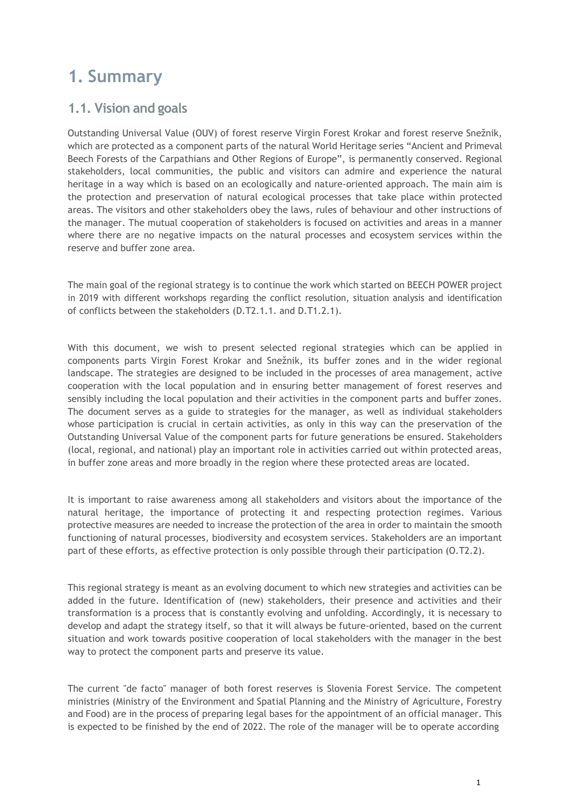## <span id="page-4-0"></span>**1. Summary**

## <span id="page-4-1"></span>**1.1. Vision and goals**

Outstanding Universal Value (OUV) of forest reserve Virgin Forest Krokar and forest reserve Snežnik, which are protected as a component parts of the natural World Heritage series "Ancient and Primeval Beech Forests of the Carpathians and Other Regions of Europe", is permanently conserved. Regional stakeholders, local communities, the public and visitors can admire and experience the natural heritage in a way which is based on an ecologically and nature-oriented approach. The main aim is the protection and preservation of natural ecological processes that take place within protected areas. The visitors and other stakeholders obey the laws, rules of behaviour and other instructions of the manager. The mutual cooperation of stakeholders is focused on activities and areas in a manner where there are no negative impacts on the natural processes and ecosystem services within the reserve and buffer zone area.

The main goal of the regional strategy is to continue the work which started on BEECH POWER project in 2019 with different workshops regarding the conflict resolution, situation analysis and identification of conflicts between the stakeholders (D.T2.1.1. and D.T1.2.1).

With this document, we wish to present selected regional strategies which can be applied in components parts Virgin Forest Krokar and Snežnik, its buffer zones and in the wider regional landscape. The strategies are designed to be included in the processes of area management, active cooperation with the local population and in ensuring better management of forest reserves and sensibly including the local population and their activities in the component parts and buffer zones. The document serves as a guide to strategies for the manager, as well as individual stakeholders whose participation is crucial in certain activities, as only in this way can the preservation of the Outstanding Universal Value of the component parts for future generations be ensured. Stakeholders (local, regional, and national) play an important role in activities carried out within protected areas, in buffer zone areas and more broadly in the region where these protected areas are located.

It is important to raise awareness among all stakeholders and visitors about the importance of the natural heritage, the importance of protecting it and respecting protection regimes. Various protective measures are needed to increase the protection of the area in order to maintain the smooth functioning of natural processes, biodiversity and ecosystem services. Stakeholders are an important part of these efforts, as effective protection is only possible through their participation (O.T2.2).

This regional strategy is meant as an evolving document to which new strategies and activities can be added in the future. Identification of (new) stakeholders, their presence and activities and their transformation is a process that is constantly evolving and unfolding. Accordingly, it is necessary to develop and adapt the strategy itself, so that it will always be future-oriented, based on the current situation and work towards positive cooperation of local stakeholders with the manager in the best way to protect the component parts and preserve its value.

The current "de facto" manager of both forest reserves is Slovenia Forest Service. The competent ministries (Ministry of the Environment and Spatial Planning and the Ministry of Agriculture, Forestry and Food) are in the process of preparing legal bases for the appointment of an official manager. This is expected to be finished by the end of 2022. The role of the manager will be to operate according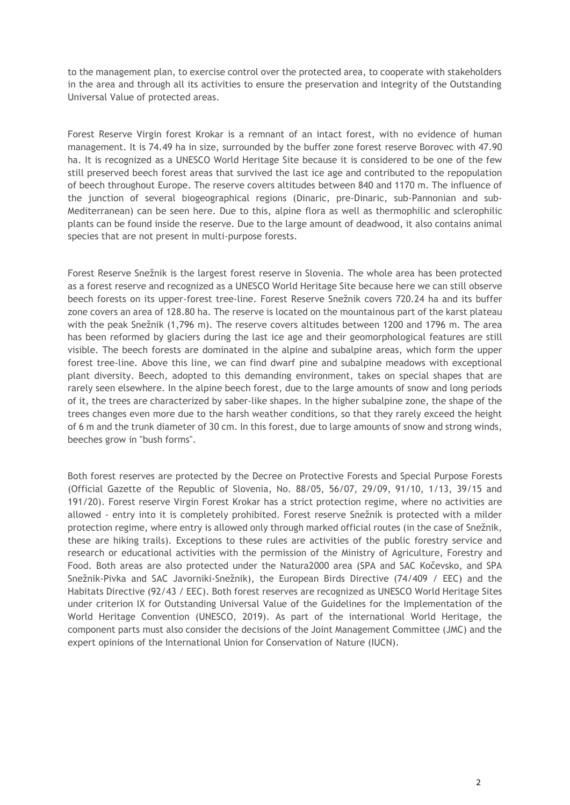to the management plan, to exercise control over the protected area, to cooperate with stakeholders in the area and through all its activities to ensure the preservation and integrity of the Outstanding Universal Value of protected areas.

Forest Reserve Virgin forest Krokar is a remnant of an intact forest, with no evidence of human management. It is 74.49 ha in size, surrounded by the buffer zone forest reserve Borovec with 47.90 ha. It is recognized as a UNESCO World Heritage Site because it is considered to be one of the few still preserved beech forest areas that survived the last ice age and contributed to the repopulation of beech throughout Europe. The reserve covers altitudes between 840 and 1170 m. The influence of the junction of several biogeographical regions (Dinaric, pre-Dinaric, sub-Pannonian and sub-Mediterranean) can be seen here. Due to this, alpine flora as well as thermophilic and sclerophilic plants can be found inside the reserve. Due to the large amount of deadwood, it also contains animal species that are not present in multi-purpose forests.

Forest Reserve Snežnik is the largest forest reserve in Slovenia. The whole area has been protected as a forest reserve and recognized as a UNESCO World Heritage Site because here we can still observe beech forests on its upper-forest tree-line. Forest Reserve Snežnik covers 720.24 ha and its buffer zone covers an area of 128.80 ha. The reserve is located on the mountainous part of the karst plateau with the peak Snežnik (1,796 m). The reserve covers altitudes between 1200 and 1796 m. The area has been reformed by glaciers during the last ice age and their geomorphological features are still visible. The beech forests are dominated in the alpine and subalpine areas, which form the upper forest tree-line. Above this line, we can find dwarf pine and subalpine meadows with exceptional plant diversity. Beech, adopted to this demanding environment, takes on special shapes that are rarely seen elsewhere. In the alpine beech forest, due to the large amounts of snow and long periods of it, the trees are characterized by saber-like shapes. In the higher subalpine zone, the shape of the trees changes even more due to the harsh weather conditions, so that they rarely exceed the height of 6 m and the trunk diameter of 30 cm. In this forest, due to large amounts of snow and strong winds, beeches grow in "bush forms".

Both forest reserves are protected by the Decree on Protective Forests and Special Purpose Forests (Official Gazette of the Republic of Slovenia, No. 88/05, 56/07, 29/09, 91/10, 1/13, 39/15 and 191/20). Forest reserve Virgin Forest Krokar has a strict protection regime, where no activities are allowed - entry into it is completely prohibited. Forest reserve Snežnik is protected with a milder protection regime, where entry is allowed only through marked official routes (in the case of Snežnik, these are hiking trails). Exceptions to these rules are activities of the public forestry service and research or educational activities with the permission of the Ministry of Agriculture, Forestry and Food. Both areas are also protected under the Natura2000 area (SPA and SAC Kočevsko, and SPA Snežnik-Pivka and SAC Javorniki-Snežnik), the European Birds Directive (74/409 / EEC) and the Habitats Directive (92/43 / EEC). Both forest reserves are recognized as UNESCO World Heritage Sites under criterion IX for Outstanding Universal Value of the Guidelines for the Implementation of the World Heritage Convention (UNESCO, 2019). As part of the international World Heritage, the component parts must also consider the decisions of the Joint Management Committee (JMC) and the expert opinions of the International Union for Conservation of Nature (IUCN).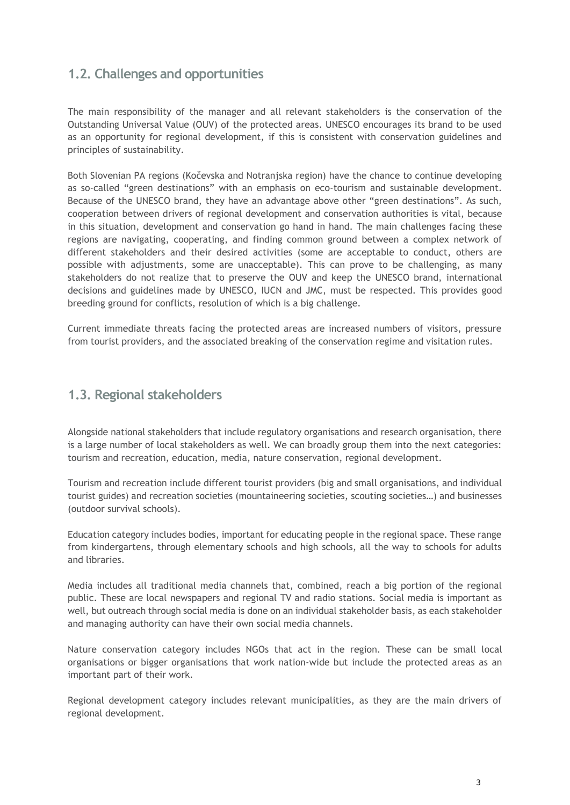## <span id="page-6-0"></span>**1.2. Challenges and opportunities**

The main responsibility of the manager and all relevant stakeholders is the conservation of the Outstanding Universal Value (OUV) of the protected areas. UNESCO encourages its brand to be used as an opportunity for regional development, if this is consistent with conservation guidelines and principles of sustainability.

Both Slovenian PA regions (Kočevska and Notranjska region) have the chance to continue developing as so-called "green destinations" with an emphasis on eco-tourism and sustainable development. Because of the UNESCO brand, they have an advantage above other "green destinations". As such, cooperation between drivers of regional development and conservation authorities is vital, because in this situation, development and conservation go hand in hand. The main challenges facing these regions are navigating, cooperating, and finding common ground between a complex network of different stakeholders and their desired activities (some are acceptable to conduct, others are possible with adjustments, some are unacceptable). This can prove to be challenging, as many stakeholders do not realize that to preserve the OUV and keep the UNESCO brand, international decisions and guidelines made by UNESCO, IUCN and JMC, must be respected. This provides good breeding ground for conflicts, resolution of which is a big challenge.

Current immediate threats facing the protected areas are increased numbers of visitors, pressure from tourist providers, and the associated breaking of the conservation regime and visitation rules.

## <span id="page-6-1"></span>**1.3. Regional stakeholders**

Alongside national stakeholders that include regulatory organisations and research organisation, there is a large number of local stakeholders as well. We can broadly group them into the next categories: tourism and recreation, education, media, nature conservation, regional development.

Tourism and recreation include different tourist providers (big and small organisations, and individual tourist guides) and recreation societies (mountaineering societies, scouting societies…) and businesses (outdoor survival schools).

Education category includes bodies, important for educating people in the regional space. These range from kindergartens, through elementary schools and high schools, all the way to schools for adults and libraries.

Media includes all traditional media channels that, combined, reach a big portion of the regional public. These are local newspapers and regional TV and radio stations. Social media is important as well, but outreach through social media is done on an individual stakeholder basis, as each stakeholder and managing authority can have their own social media channels.

Nature conservation category includes NGOs that act in the region. These can be small local organisations or bigger organisations that work nation-wide but include the protected areas as an important part of their work.

Regional development category includes relevant municipalities, as they are the main drivers of regional development.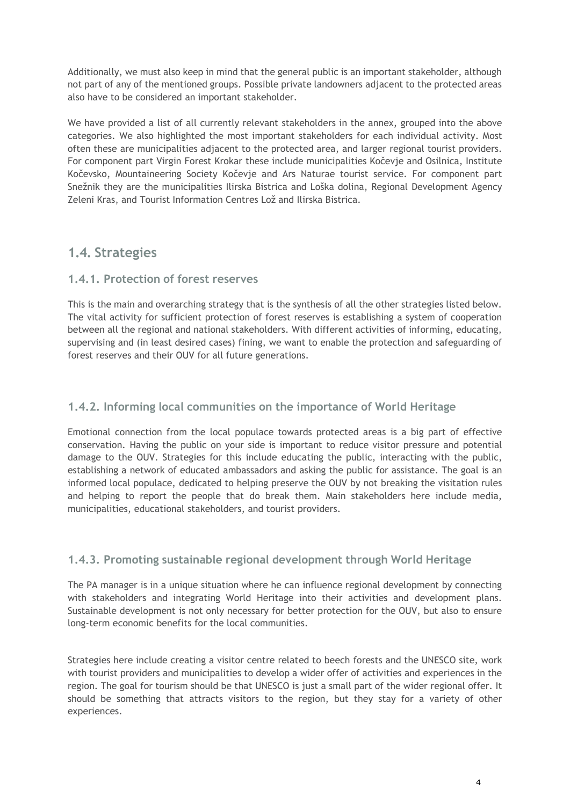Additionally, we must also keep in mind that the general public is an important stakeholder, although not part of any of the mentioned groups. Possible private landowners adjacent to the protected areas also have to be considered an important stakeholder.

We have provided a list of all currently relevant stakeholders in the annex, grouped into the above categories. We also highlighted the most important stakeholders for each individual activity. Most often these are municipalities adjacent to the protected area, and larger regional tourist providers. For component part Virgin Forest Krokar these include municipalities Kočevje and Osilnica, Institute Kočevsko, Mountaineering Society Kočevje and Ars Naturae tourist service. For component part Snežnik they are the municipalities Ilirska Bistrica and Loška dolina, Regional Development Agency Zeleni Kras, and Tourist Information Centres Lož and Ilirska Bistrica.

## <span id="page-7-0"></span>**1.4. Strategies**

## <span id="page-7-1"></span>**1.4.1. Protection of forest reserves**

This is the main and overarching strategy that is the synthesis of all the other strategies listed below. The vital activity for sufficient protection of forest reserves is establishing a system of cooperation between all the regional and national stakeholders. With different activities of informing, educating, supervising and (in least desired cases) fining, we want to enable the protection and safeguarding of forest reserves and their OUV for all future generations.

## <span id="page-7-2"></span>**1.4.2. Informing local communities on the importance of World Heritage**

Emotional connection from the local populace towards protected areas is a big part of effective conservation. Having the public on your side is important to reduce visitor pressure and potential damage to the OUV. Strategies for this include educating the public, interacting with the public, establishing a network of educated ambassadors and asking the public for assistance. The goal is an informed local populace, dedicated to helping preserve the OUV by not breaking the visitation rules and helping to report the people that do break them. Main stakeholders here include media, municipalities, educational stakeholders, and tourist providers.

## <span id="page-7-3"></span>**1.4.3. Promoting sustainable regional development through World Heritage**

The PA manager is in a unique situation where he can influence regional development by connecting with stakeholders and integrating World Heritage into their activities and development plans. Sustainable development is not only necessary for better protection for the OUV, but also to ensure long-term economic benefits for the local communities.

Strategies here include creating a visitor centre related to beech forests and the UNESCO site, work with tourist providers and municipalities to develop a wider offer of activities and experiences in the region. The goal for tourism should be that UNESCO is just a small part of the wider regional offer. It should be something that attracts visitors to the region, but they stay for a variety of other experiences.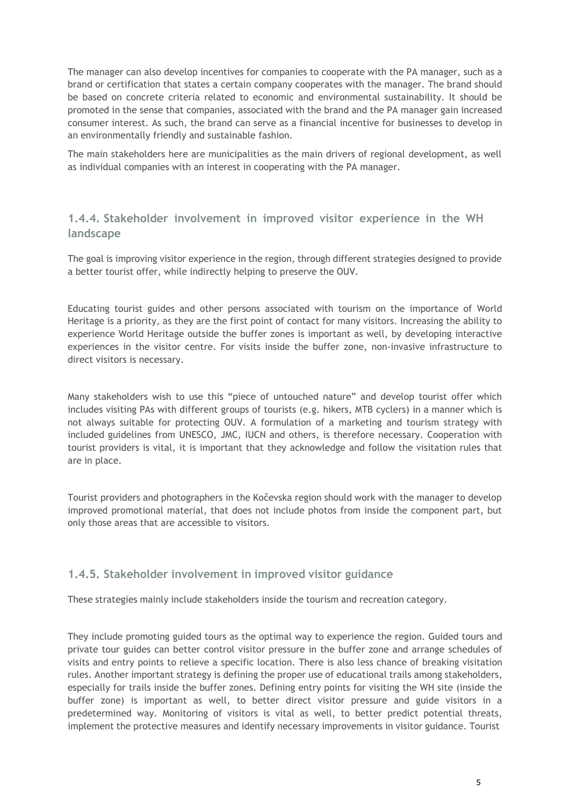The manager can also develop incentives for companies to cooperate with the PA manager, such as a brand or certification that states a certain company cooperates with the manager. The brand should be based on concrete criteria related to economic and environmental sustainability. It should be promoted in the sense that companies, associated with the brand and the PA manager gain increased consumer interest. As such, the brand can serve as a financial incentive for businesses to develop in an environmentally friendly and sustainable fashion.

The main stakeholders here are municipalities as the main drivers of regional development, as well as individual companies with an interest in cooperating with the PA manager.

## <span id="page-8-0"></span>**1.4.4. Stakeholder involvement in improved visitor experience in the WH landscape**

The goal is improving visitor experience in the region, through different strategies designed to provide a better tourist offer, while indirectly helping to preserve the OUV.

Educating tourist guides and other persons associated with tourism on the importance of World Heritage is a priority, as they are the first point of contact for many visitors. Increasing the ability to experience World Heritage outside the buffer zones is important as well, by developing interactive experiences in the visitor centre. For visits inside the buffer zone, non-invasive infrastructure to direct visitors is necessary.

Many stakeholders wish to use this "piece of untouched nature" and develop tourist offer which includes visiting PAs with different groups of tourists (e.g. hikers, MTB cyclers) in a manner which is not always suitable for protecting OUV. A formulation of a marketing and tourism strategy with included guidelines from UNESCO, JMC, IUCN and others, is therefore necessary. Cooperation with tourist providers is vital, it is important that they acknowledge and follow the visitation rules that are in place.

Tourist providers and photographers in the Kočevska region should work with the manager to develop improved promotional material, that does not include photos from inside the component part, but only those areas that are accessible to visitors.

### <span id="page-8-1"></span>**1.4.5. Stakeholder involvement in improved visitor guidance**

These strategies mainly include stakeholders inside the tourism and recreation category.

They include promoting guided tours as the optimal way to experience the region. Guided tours and private tour guides can better control visitor pressure in the buffer zone and arrange schedules of visits and entry points to relieve a specific location. There is also less chance of breaking visitation rules. Another important strategy is defining the proper use of educational trails among stakeholders, especially for trails inside the buffer zones. Defining entry points for visiting the WH site (inside the buffer zone) is important as well, to better direct visitor pressure and guide visitors in a predetermined way. Monitoring of visitors is vital as well, to better predict potential threats, implement the protective measures and identify necessary improvements in visitor guidance. Tourist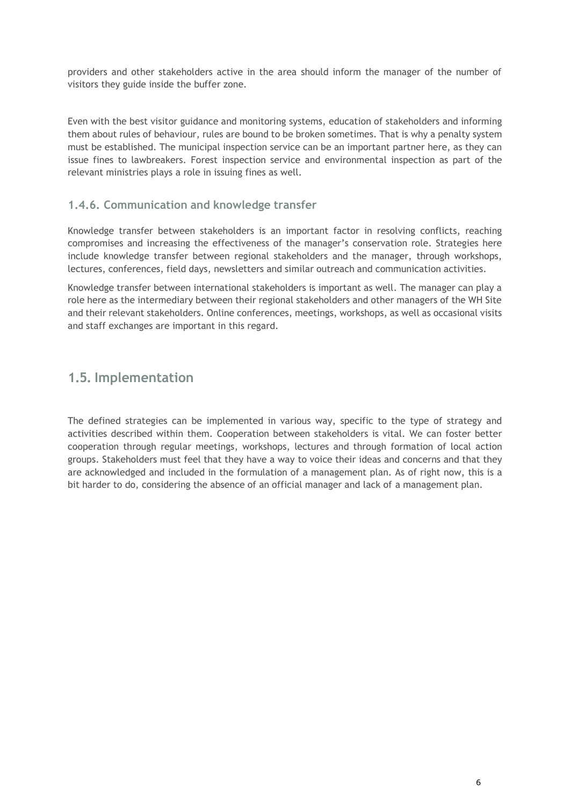providers and other stakeholders active in the area should inform the manager of the number of visitors they guide inside the buffer zone.

Even with the best visitor guidance and monitoring systems, education of stakeholders and informing them about rules of behaviour, rules are bound to be broken sometimes. That is why a penalty system must be established. The municipal inspection service can be an important partner here, as they can issue fines to lawbreakers. Forest inspection service and environmental inspection as part of the relevant ministries plays a role in issuing fines as well.

### <span id="page-9-0"></span>**1.4.6. Communication and knowledge transfer**

Knowledge transfer between stakeholders is an important factor in resolving conflicts, reaching compromises and increasing the effectiveness of the manager's conservation role. Strategies here include knowledge transfer between regional stakeholders and the manager, through workshops, lectures, conferences, field days, newsletters and similar outreach and communication activities.

Knowledge transfer between international stakeholders is important as well. The manager can play a role here as the intermediary between their regional stakeholders and other managers of the WH Site and their relevant stakeholders. Online conferences, meetings, workshops, as well as occasional visits and staff exchanges are important in this regard.

## <span id="page-9-1"></span>**1.5. Implementation**

The defined strategies can be implemented in various way, specific to the type of strategy and activities described within them. Cooperation between stakeholders is vital. We can foster better cooperation through regular meetings, workshops, lectures and through formation of local action groups. Stakeholders must feel that they have a way to voice their ideas and concerns and that they are acknowledged and included in the formulation of a management plan. As of right now, this is a bit harder to do, considering the absence of an official manager and lack of a management plan.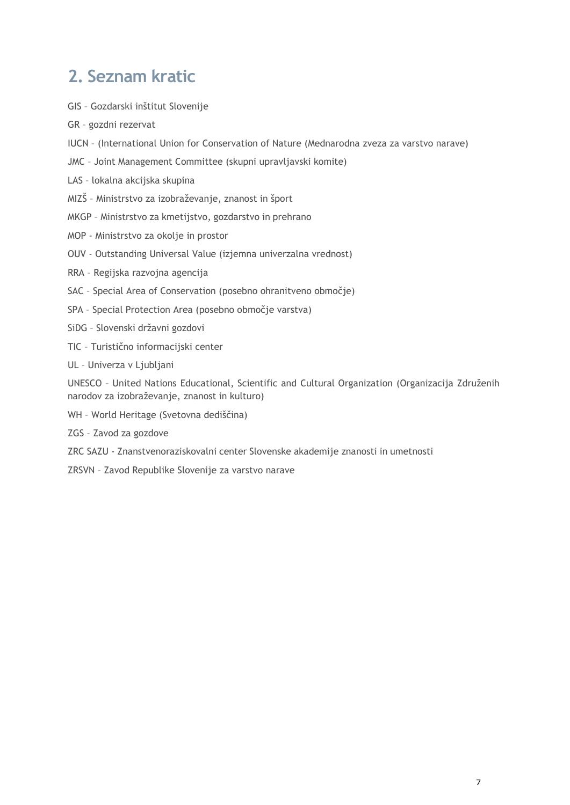## <span id="page-10-0"></span>**2. Seznam kratic**

- GIS Gozdarski inštitut Slovenije
- GR gozdni rezervat
- IUCN (International Union for Conservation of Nature (Mednarodna zveza za varstvo narave)
- JMC Joint Management Committee (skupni upravljavski komite)
- LAS lokalna akcijska skupina
- MIZŠ Ministrstvo za izobraževanje, znanost in šport
- MKGP Ministrstvo za kmetijstvo, gozdarstvo in prehrano
- MOP Ministrstvo za okolje in prostor
- OUV Outstanding Universal Value (izjemna univerzalna vrednost)
- RRA Regijska razvojna agencija
- SAC Special Area of Conservation (posebno ohranitveno območje)
- SPA Special Protection Area (posebno območje varstva)
- SiDG Slovenski državni gozdovi
- TIC Turistično informacijski center
- UL Univerza v Ljubljani

UNESCO – United Nations Educational, Scientific and Cultural Organization (Organizacija Združenih narodov za izobraževanje, znanost in kulturo)

- WH World Heritage (Svetovna dediščina)
- ZGS Zavod za gozdove
- ZRC SAZU Znanstvenoraziskovalni center Slovenske akademije znanosti in umetnosti
- ZRSVN Zavod Republike Slovenije za varstvo narave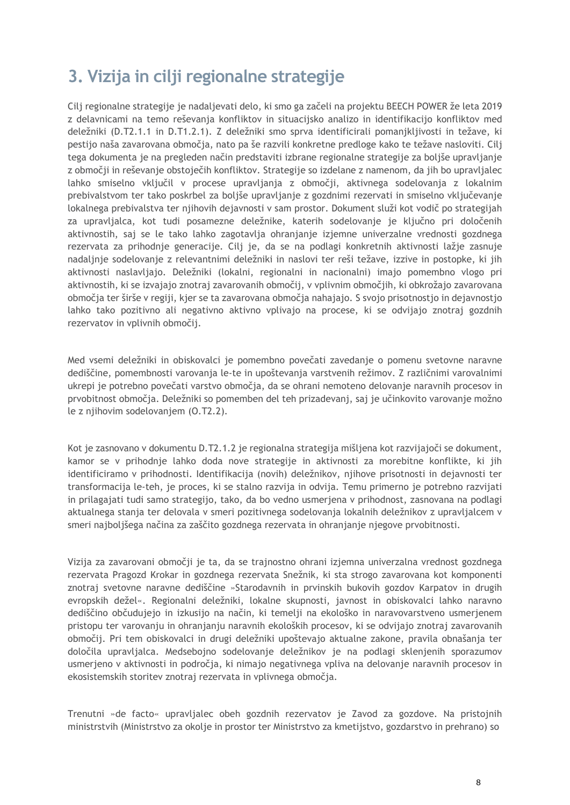## <span id="page-11-0"></span>**3. Vizija in cilji regionalne strategije**

Cilj regionalne strategije je nadaljevati delo, ki smo ga začeli na projektu BEECH POWER že leta 2019 z delavnicami na temo reševanja konfliktov in situacijsko analizo in identifikacijo konfliktov med deležniki (D.T2.1.1 in D.T1.2.1). Z deležniki smo sprva identificirali pomanjkljivosti in težave, ki pestijo naša zavarovana območja, nato pa še razvili konkretne predloge kako te težave nasloviti. Cilj tega dokumenta je na pregleden način predstaviti izbrane regionalne strategije za boljše upravljanje z območji in reševanje obstoječih konfliktov. Strategije so izdelane z namenom, da jih bo upravljalec lahko smiselno vključil v procese upravljanja z območji, aktivnega sodelovanja z lokalnim prebivalstvom ter tako poskrbel za boljše upravljanje z gozdnimi rezervati in smiselno vključevanje lokalnega prebivalstva ter njihovih dejavnosti v sam prostor. Dokument služi kot vodič po strategijah za upravljalca, kot tudi posamezne deležnike, katerih sodelovanje je ključno pri določenih aktivnostih, saj se le tako lahko zagotavlja ohranjanje izjemne univerzalne vrednosti gozdnega rezervata za prihodnje generacije. Cilj je, da se na podlagi konkretnih aktivnosti lažje zasnuje nadaljnje sodelovanje z relevantnimi deležniki in naslovi ter reši težave, izzive in postopke, ki jih aktivnosti naslavljajo. Deležniki (lokalni, regionalni in nacionalni) imajo pomembno vlogo pri aktivnostih, ki se izvajajo znotraj zavarovanih območij, v vplivnim območjih, ki obkrožajo zavarovana območja ter širše v regiji, kjer se ta zavarovana območja nahajajo. S svojo prisotnostjo in dejavnostjo lahko tako pozitivno ali negativno aktivno vplivajo na procese, ki se odvijajo znotraj gozdnih rezervatov in vplivnih območij.

Med vsemi deležniki in obiskovalci je pomembno povečati zavedanje o pomenu svetovne naravne dediščine, pomembnosti varovanja le-te in upoštevanja varstvenih režimov. Z različnimi varovalnimi ukrepi je potrebno povečati varstvo območja, da se ohrani nemoteno delovanje naravnih procesov in prvobitnost območja. Deležniki so pomemben del teh prizadevanj, saj je učinkovito varovanje možno le z njihovim sodelovanjem (O.T2.2).

Kot je zasnovano v dokumentu D.T2.1.2 je regionalna strategija mišljena kot razvijajoči se dokument, kamor se v prihodnje lahko doda nove strategije in aktivnosti za morebitne konflikte, ki jih identificiramo v prihodnosti. Identifikacija (novih) deležnikov, njihove prisotnosti in dejavnosti ter transformacija le-teh, je proces, ki se stalno razvija in odvija. Temu primerno je potrebno razvijati in prilagajati tudi samo strategijo, tako, da bo vedno usmerjena v prihodnost, zasnovana na podlagi aktualnega stanja ter delovala v smeri pozitivnega sodelovanja lokalnih deležnikov z upravljalcem v smeri najboljšega načina za zaščito gozdnega rezervata in ohranjanje njegove prvobitnosti.

Vizija za zavarovani območji je ta, da se trajnostno ohrani izjemna univerzalna vrednost gozdnega rezervata Pragozd Krokar in gozdnega rezervata Snežnik, ki sta strogo zavarovana kot komponenti znotraj svetovne naravne dediščine »Starodavnih in prvinskih bukovih gozdov Karpatov in drugih evropskih dežel«. Regionalni deležniki, lokalne skupnosti, javnost in obiskovalci lahko naravno dediščino občudujejo in izkusijo na način, ki temelji na ekološko in naravovarstveno usmerjenem pristopu ter varovanju in ohranjanju naravnih ekoloških procesov, ki se odvijajo znotraj zavarovanih območij. Pri tem obiskovalci in drugi deležniki upoštevajo aktualne zakone, pravila obnašanja ter določila upravljalca. Medsebojno sodelovanje deležnikov je na podlagi sklenjenih sporazumov usmerjeno v aktivnosti in področja, ki nimajo negativnega vpliva na delovanje naravnih procesov in ekosistemskih storitev znotraj rezervata in vplivnega območja.

Trenutni »de facto« upravljalec obeh gozdnih rezervatov je Zavod za gozdove. Na pristojnih ministrstvih (Ministrstvo za okolje in prostor ter Ministrstvo za kmetijstvo, gozdarstvo in prehrano) so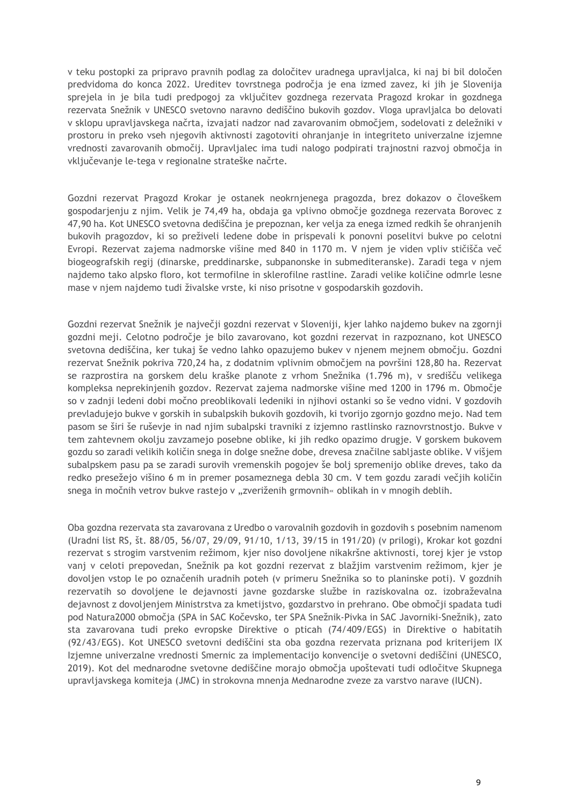v teku postopki za pripravo pravnih podlag za določitev uradnega upravljalca, ki naj bi bil določen predvidoma do konca 2022. Ureditev tovrstnega področja je ena izmed zavez, ki jih je Slovenija sprejela in je bila tudi predpogoj za vključitev gozdnega rezervata Pragozd krokar in gozdnega rezervata Snežnik v UNESCO svetovno naravno dediščino bukovih gozdov. Vloga upravljalca bo delovati v sklopu upravljavskega načrta, izvajati nadzor nad zavarovanim območjem, sodelovati z deležniki v prostoru in preko vseh njegovih aktivnosti zagotoviti ohranjanje in integriteto univerzalne izjemne vrednosti zavarovanih območij. Upravljalec ima tudi nalogo podpirati trajnostni razvoj območja in vključevanje le-tega v regionalne strateške načrte.

Gozdni rezervat Pragozd Krokar je ostanek neokrnjenega pragozda, brez dokazov o človeškem gospodarjenju z njim. Velik je 74,49 ha, obdaja ga vplivno območje gozdnega rezervata Borovec z 47,90 ha. Kot UNESCO svetovna dediščina je prepoznan, ker velja za enega izmed redkih še ohranjenih bukovih pragozdov, ki so preživeli ledene dobe in prispevali k ponovni poselitvi bukve po celotni Evropi. Rezervat zajema nadmorske višine med 840 in 1170 m. V njem je viden vpliv stičišča več biogeografskih regij (dinarske, preddinarske, subpanonske in submediteranske). Zaradi tega v njem najdemo tako alpsko floro, kot termofilne in sklerofilne rastline. Zaradi velike količine odmrle lesne mase v njem najdemo tudi živalske vrste, ki niso prisotne v gospodarskih gozdovih.

Gozdni rezervat Snežnik je največji gozdni rezervat v Sloveniji, kjer lahko najdemo bukev na zgornji gozdni meji. Celotno področje je bilo zavarovano, kot gozdni rezervat in razpoznano, kot UNESCO svetovna dediščina, ker tukaj še vedno lahko opazujemo bukev v njenem mejnem območju. Gozdni rezervat Snežnik pokriva 720,24 ha, z dodatnim vplivnim območjem na površini 128,80 ha. Rezervat se razprostira na gorskem delu kraške planote z vrhom Snežnika (1.796 m), v središču velikega kompleksa neprekinjenih gozdov. Rezervat zajema nadmorske višine med 1200 in 1796 m. Območje so v zadnji ledeni dobi močno preoblikovali ledeniki in njihovi ostanki so še vedno vidni. V gozdovih prevladujejo bukve v gorskih in subalpskih bukovih gozdovih, ki tvorijo zgornjo gozdno mejo. Nad tem pasom se širi še ruševje in nad njim subalpski travniki z izjemno rastlinsko raznovrstnostjo. Bukve v tem zahtevnem okolju zavzamejo posebne oblike, ki jih redko opazimo drugje. V gorskem bukovem gozdu so zaradi velikih količin snega in dolge snežne dobe, drevesa značilne sabljaste oblike. V višjem subalpskem pasu pa se zaradi surovih vremenskih pogojev še bolj spremenijo oblike dreves, tako da redko presežejo višino 6 m in premer posameznega debla 30 cm. V tem gozdu zaradi večjih količin snega in močnih vetrov bukve rastejo v "zveriženih grmovnih« oblikah in v mnogih deblih.

Oba gozdna rezervata sta zavarovana z Uredbo o varovalnih gozdovih in gozdovih s posebnim namenom (Uradni list RS, št. 88/05, 56/07, 29/09, 91/10, 1/13, 39/15 in 191/20) (v prilogi), Krokar kot gozdni rezervat s strogim varstvenim režimom, kjer niso dovoljene nikakršne aktivnosti, torej kjer je vstop vanj v celoti prepovedan, Snežnik pa kot gozdni rezervat z blažjim varstvenim režimom, kjer je dovoljen vstop le po označenih uradnih poteh (v primeru Snežnika so to planinske poti). V gozdnih rezervatih so dovoljene le dejavnosti javne gozdarske službe in raziskovalna oz. izobraževalna dejavnost z dovoljenjem Ministrstva za kmetijstvo, gozdarstvo in prehrano. Obe območji spadata tudi pod Natura2000 območja (SPA in SAC Kočevsko, ter SPA Snežnik-Pivka in SAC Javorniki-Snežnik), zato sta zavarovana tudi preko evropske Direktive o pticah (74/409/EGS) in Direktive o habitatih (92/43/EGS). Kot UNESCO svetovni dediščini sta oba gozdna rezervata priznana pod kriterijem IX Izjemne univerzalne vrednosti Smernic za implementacijo konvencije o svetovni dediščini (UNESCO, 2019). Kot del mednarodne svetovne dediščine morajo območja upoštevati tudi odločitve Skupnega upravljavskega komiteja (JMC) in strokovna mnenja Mednarodne zveze za varstvo narave (IUCN).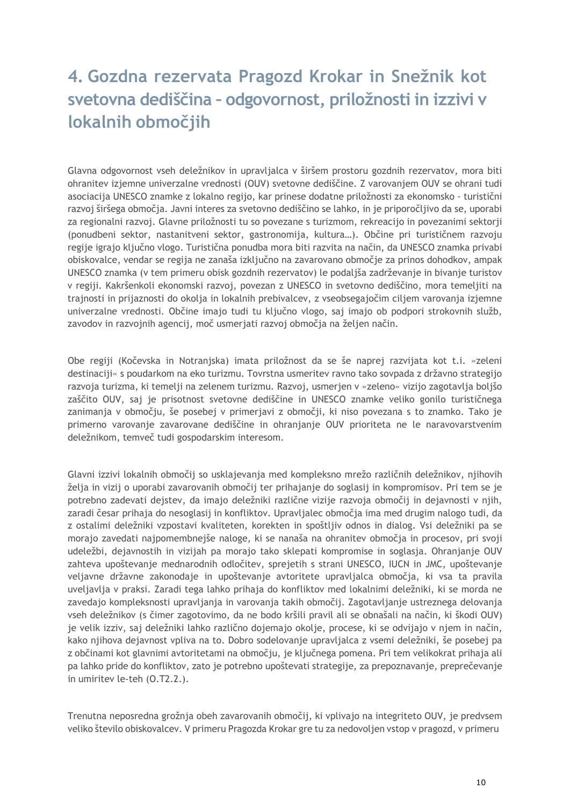## <span id="page-13-0"></span>**4. Gozdna rezervata Pragozd Krokar in Snežnik kot svetovna dediščina – odgovornost, priložnosti in izzivi v lokalnih območjih**

Glavna odgovornost vseh deležnikov in upravljalca v širšem prostoru gozdnih rezervatov, mora biti ohranitev izjemne univerzalne vrednosti (OUV) svetovne dediščine. Z varovanjem OUV se ohrani tudi asociacija UNESCO znamke z lokalno regijo, kar prinese dodatne priložnosti za ekonomsko - turistični razvoj širšega območja. Javni interes za svetovno dediščino se lahko, in je priporočljivo da se, uporabi za regionalni razvoj. Glavne priložnosti tu so povezane s turizmom, rekreacijo in povezanimi sektorji (ponudbeni sektor, nastanitveni sektor, gastronomija, kultura…). Občine pri turističnem razvoju regije igrajo ključno vlogo. Turistična ponudba mora biti razvita na način, da UNESCO znamka privabi obiskovalce, vendar se regija ne zanaša izključno na zavarovano območje za prinos dohodkov, ampak UNESCO znamka (v tem primeru obisk gozdnih rezervatov) le podaljša zadrževanje in bivanje turistov v regiji. Kakršenkoli ekonomski razvoj, povezan z UNESCO in svetovno dediščino, mora temeljiti na trajnosti in prijaznosti do okolja in lokalnih prebivalcev, z vseobsegajočim ciljem varovanja izjemne univerzalne vrednosti. Občine imajo tudi tu ključno vlogo, saj imajo ob podpori strokovnih služb, zavodov in razvojnih agencij, moč usmerjati razvoj območja na željen način.

Obe regiji (Kočevska in Notranjska) imata priložnost da se še naprej razvijata kot t.i. »zeleni destinaciji« s poudarkom na eko turizmu. Tovrstna usmeritev ravno tako sovpada z državno strategijo razvoja turizma, ki temelji na zelenem turizmu. Razvoj, usmerjen v »zeleno« vizijo zagotavlja boljšo zaščito OUV, saj je prisotnost svetovne dediščine in UNESCO znamke veliko gonilo turističnega zanimanja v območju, še posebej v primerjavi z območji, ki niso povezana s to znamko. Tako je primerno varovanje zavarovane dediščine in ohranjanje OUV prioriteta ne le naravovarstvenim deležnikom, temveč tudi gospodarskim interesom.

Glavni izzivi lokalnih območij so usklajevanja med kompleksno mrežo različnih deležnikov, njihovih želja in vizij o uporabi zavarovanih območij ter prihajanje do soglasij in kompromisov. Pri tem se je potrebno zadevati dejstev, da imajo deležniki različne vizije razvoja območij in dejavnosti v njih, zaradi česar prihaja do nesoglasij in konfliktov. Upravljalec območja ima med drugim nalogo tudi, da z ostalimi deležniki vzpostavi kvaliteten, korekten in spoštljiv odnos in dialog. Vsi deležniki pa se morajo zavedati najpomembnejše naloge, ki se nanaša na ohranitev območja in procesov, pri svoji udeležbi, dejavnostih in vizijah pa morajo tako sklepati kompromise in soglasja. Ohranjanje OUV zahteva upoštevanje mednarodnih odločitev, sprejetih s strani UNESCO, IUCN in JMC, upoštevanje veljavne državne zakonodaje in upoštevanje avtoritete upravljalca območja, ki vsa ta pravila uveljavlja v praksi. Zaradi tega lahko prihaja do konfliktov med lokalnimi deležniki, ki se morda ne zavedajo kompleksnosti upravljanja in varovanja takih območij. Zagotavljanje ustreznega delovanja vseh deležnikov (s čimer zagotovimo, da ne bodo kršili pravil ali se obnašali na način, ki škodi OUV) je velik izziv, saj deležniki lahko različno dojemajo okolje, procese, ki se odvijajo v njem in način, kako njihova dejavnost vpliva na to. Dobro sodelovanje upravljalca z vsemi deležniki, še posebej pa z občinami kot glavnimi avtoritetami na območju, je ključnega pomena. Pri tem velikokrat prihaja ali pa lahko pride do konfliktov, zato je potrebno upoštevati strategije, za prepoznavanje, preprečevanje in umiritev le-teh (O.T2.2.).

Trenutna neposredna grožnja obeh zavarovanih območij, ki vplivajo na integriteto OUV, je predvsem veliko število obiskovalcev. V primeru Pragozda Krokar gre tu za nedovoljen vstop v pragozd, v primeru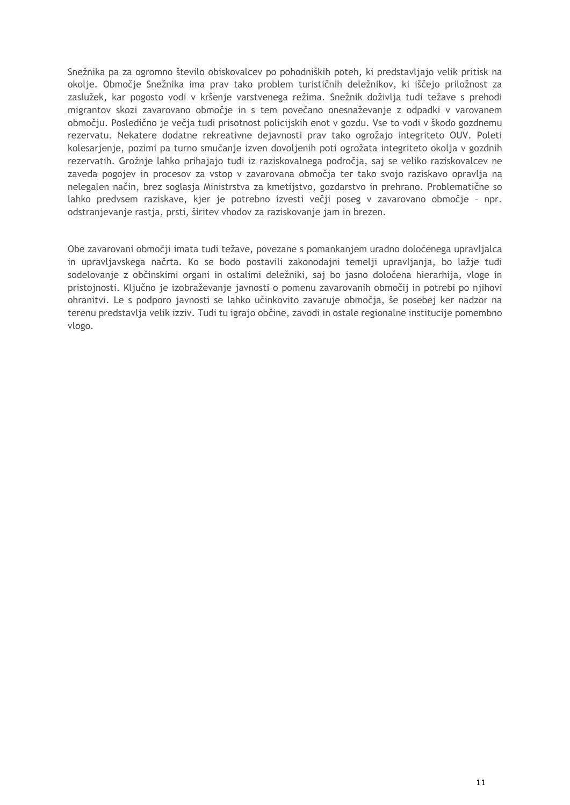Snežnika pa za ogromno število obiskovalcev po pohodniških poteh, ki predstavljajo velik pritisk na okolje. Območje Snežnika ima prav tako problem turističnih deležnikov, ki iščejo priložnost za zaslužek, kar pogosto vodi v kršenje varstvenega režima. Snežnik doživlja tudi težave s prehodi migrantov skozi zavarovano območje in s tem povečano onesnaževanje z odpadki v varovanem območju. Posledično je večja tudi prisotnost policijskih enot v gozdu. Vse to vodi v škodo gozdnemu rezervatu. Nekatere dodatne rekreativne dejavnosti prav tako ogrožajo integriteto OUV. Poleti kolesarjenje, pozimi pa turno smučanje izven dovoljenih poti ogrožata integriteto okolja v gozdnih rezervatih. Grožnje lahko prihajajo tudi iz raziskovalnega področja, saj se veliko raziskovalcev ne zaveda pogojev in procesov za vstop v zavarovana območja ter tako svojo raziskavo opravlja na nelegalen način, brez soglasja Ministrstva za kmetijstvo, gozdarstvo in prehrano. Problematične so lahko predvsem raziskave, kjer je potrebno izvesti večji poseg v zavarovano območje – npr. odstranjevanje rastja, prsti, širitev vhodov za raziskovanje jam in brezen.

Obe zavarovani območji imata tudi težave, povezane s pomankanjem uradno določenega upravljalca in upravljavskega načrta. Ko se bodo postavili zakonodajni temelji upravljanja, bo lažje tudi sodelovanje z občinskimi organi in ostalimi deležniki, saj bo jasno določena hierarhija, vloge in pristojnosti. Ključno je izobraževanje javnosti o pomenu zavarovanih območij in potrebi po njihovi ohranitvi. Le s podporo javnosti se lahko učinkovito zavaruje območja, še posebej ker nadzor na terenu predstavlja velik izziv. Tudi tu igrajo občine, zavodi in ostale regionalne institucije pomembno vlogo.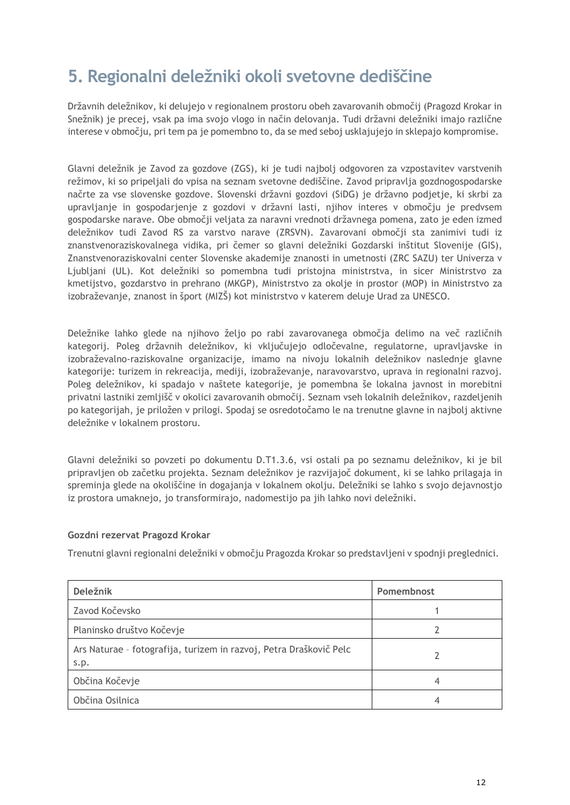## <span id="page-15-0"></span>**5. Regionalni deležniki okoli svetovne dediščine**

Državnih deležnikov, ki delujejo v regionalnem prostoru obeh zavarovanih območij (Pragozd Krokar in Snežnik) je precej, vsak pa ima svojo vlogo in način delovanja. Tudi državni deležniki imajo različne interese v območju, pri tem pa je pomembno to, da se med seboj usklajujejo in sklepajo kompromise.

Glavni deležnik je Zavod za gozdove (ZGS), ki je tudi najbolj odgovoren za vzpostavitev varstvenih režimov, ki so pripeljali do vpisa na seznam svetovne dediščine. Zavod pripravlja gozdnogospodarske načrte za vse slovenske gozdove. Slovenski državni gozdovi (SiDG) je državno podjetje, ki skrbi za upravljanje in gospodarjenje z gozdovi v državni lasti, njihov interes v območju je predvsem gospodarske narave. Obe območji veljata za naravni vrednoti državnega pomena, zato je eden izmed deležnikov tudi Zavod RS za varstvo narave (ZRSVN). Zavarovani območji sta zanimivi tudi iz znanstvenoraziskovalnega vidika, pri čemer so glavni deležniki Gozdarski inštitut Slovenije (GIS), Znanstvenoraziskovalni center Slovenske akademije znanosti in umetnosti (ZRC SAZU) ter Univerza v Ljubljani (UL). Kot deležniki so pomembna tudi pristojna ministrstva, in sicer Ministrstvo za kmetijstvo, gozdarstvo in prehrano (MKGP), Ministrstvo za okolje in prostor (MOP) in Ministrstvo za izobraževanje, znanost in šport (MIZŠ) kot ministrstvo v katerem deluje Urad za UNESCO.

Deležnike lahko glede na njihovo željo po rabi zavarovanega območja delimo na več različnih kategorij. Poleg državnih deležnikov, ki vključujejo odločevalne, regulatorne, upravljavske in izobraževalno-raziskovalne organizacije, imamo na nivoju lokalnih deležnikov naslednje glavne kategorije: turizem in rekreacija, mediji, izobraževanje, naravovarstvo, uprava in regionalni razvoj. Poleg deležnikov, ki spadajo v naštete kategorije, je pomembna še lokalna javnost in morebitni privatni lastniki zemljišč v okolici zavarovanih območij. Seznam vseh lokalnih deležnikov, razdeljenih po kategorijah, je priložen v prilogi. Spodaj se osredotočamo le na trenutne glavne in najbolj aktivne deležnike v lokalnem prostoru.

Glavni deležniki so povzeti po dokumentu D.T1.3.6, vsi ostali pa po seznamu deležnikov, ki je bil pripravljen ob začetku projekta. Seznam deležnikov je razvijajoč dokument, ki se lahko prilagaja in spreminja glede na okoliščine in dogajanja v lokalnem okolju. Deležniki se lahko s svojo dejavnostjo iz prostora umaknejo, jo transformirajo, nadomestijo pa jih lahko novi deležniki.

#### **Gozdni rezervat Pragozd Krokar**

Trenutni glavni regionalni deležniki v območju Pragozda Krokar so predstavljeni v spodnji preglednici.

| <b>Deležnik</b>                                                            | Pomembnost |
|----------------------------------------------------------------------------|------------|
| Zavod Kočevsko                                                             |            |
| Planinsko društvo Kočevje                                                  |            |
| Ars Naturae - fotografija, turizem in razvoj, Petra Draškovič Pelc<br>s.p. |            |
| Občina Kočevje                                                             |            |
| Občina Osilnica                                                            |            |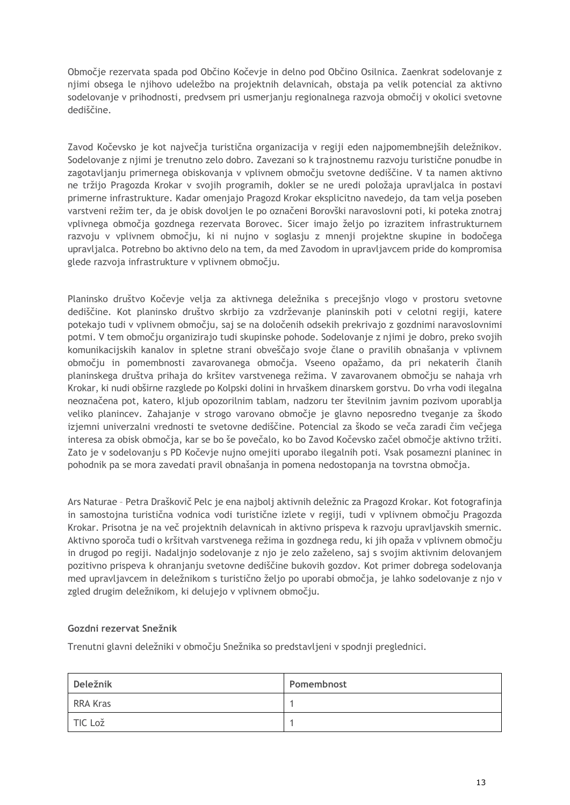Območje rezervata spada pod Občino Kočevje in delno pod Občino Osilnica. Zaenkrat sodelovanje z njimi obsega le njihovo udeležbo na projektnih delavnicah, obstaja pa velik potencial za aktivno sodelovanje v prihodnosti, predvsem pri usmerjanju regionalnega razvoja območij v okolici svetovne dediščine.

Zavod Kočevsko je kot največja turistična organizacija v regiji eden najpomembnejših deležnikov. Sodelovanje z njimi je trenutno zelo dobro. Zavezani so k trajnostnemu razvoju turistične ponudbe in zagotavljanju primernega obiskovanja v vplivnem območju svetovne dediščine. V ta namen aktivno ne tržijo Pragozda Krokar v svojih programih, dokler se ne uredi položaja upravljalca in postavi primerne infrastrukture. Kadar omenjajo Pragozd Krokar eksplicitno navedejo, da tam velja poseben varstveni režim ter, da je obisk dovoljen le po označeni Borovški naravoslovni poti, ki poteka znotraj vplivnega območja gozdnega rezervata Borovec. Sicer imajo željo po izrazitem infrastrukturnem razvoju v vplivnem območju, ki ni nujno v soglasju z mnenji projektne skupine in bodočega upravljalca. Potrebno bo aktivno delo na tem, da med Zavodom in upravljavcem pride do kompromisa glede razvoja infrastrukture v vplivnem območju.

Planinsko društvo Kočevje velja za aktivnega deležnika s precejšnjo vlogo v prostoru svetovne dediščine. Kot planinsko društvo skrbijo za vzdrževanje planinskih poti v celotni regiji, katere potekajo tudi v vplivnem območju, saj se na določenih odsekih prekrivajo z gozdnimi naravoslovnimi potmi. V tem območju organizirajo tudi skupinske pohode. Sodelovanje z njimi je dobro, preko svojih komunikacijskih kanalov in spletne strani obveščajo svoje člane o pravilih obnašanja v vplivnem območju in pomembnosti zavarovanega območja. Vseeno opažamo, da pri nekaterih članih planinskega društva prihaja do kršitev varstvenega režima. V zavarovanem območju se nahaja vrh Krokar, ki nudi obširne razglede po Kolpski dolini in hrvaškem dinarskem gorstvu. Do vrha vodi ilegalna neoznačena pot, katero, kljub opozorilnim tablam, nadzoru ter številnim javnim pozivom uporablja veliko planincev. Zahajanje v strogo varovano območje je glavno neposredno tveganje za škodo izjemni univerzalni vrednosti te svetovne dediščine. Potencial za škodo se veča zaradi čim večjega interesa za obisk območja, kar se bo še povečalo, ko bo Zavod Kočevsko začel območje aktivno tržiti. Zato je v sodelovanju s PD Kočevje nujno omejiti uporabo ilegalnih poti. Vsak posamezni planinec in pohodnik pa se mora zavedati pravil obnašanja in pomena nedostopanja na tovrstna območja.

Ars Naturae – Petra Draškovič Pelc je ena najbolj aktivnih deležnic za Pragozd Krokar. Kot fotografinja in samostojna turistična vodnica vodi turistične izlete v regiji, tudi v vplivnem območju Pragozda Krokar. Prisotna je na več projektnih delavnicah in aktivno prispeva k razvoju upravljavskih smernic. Aktivno sporoča tudi o kršitvah varstvenega režima in gozdnega redu, ki jih opaža v vplivnem območju in drugod po regiji. Nadaljnjo sodelovanje z njo je zelo zaželeno, saj s svojim aktivnim delovanjem pozitivno prispeva k ohranjanju svetovne dediščine bukovih gozdov. Kot primer dobrega sodelovanja med upravljavcem in deležnikom s turistično željo po uporabi območja, je lahko sodelovanje z njo v zgled drugim deležnikom, ki delujejo v vplivnem območju.

#### **Gozdni rezervat Snežnik**

Trenutni glavni deležniki v območju Snežnika so predstavljeni v spodnji preglednici.

| Deležnik        | Pomembnost |
|-----------------|------------|
| <b>RRA Kras</b> |            |
| TIC Lož         |            |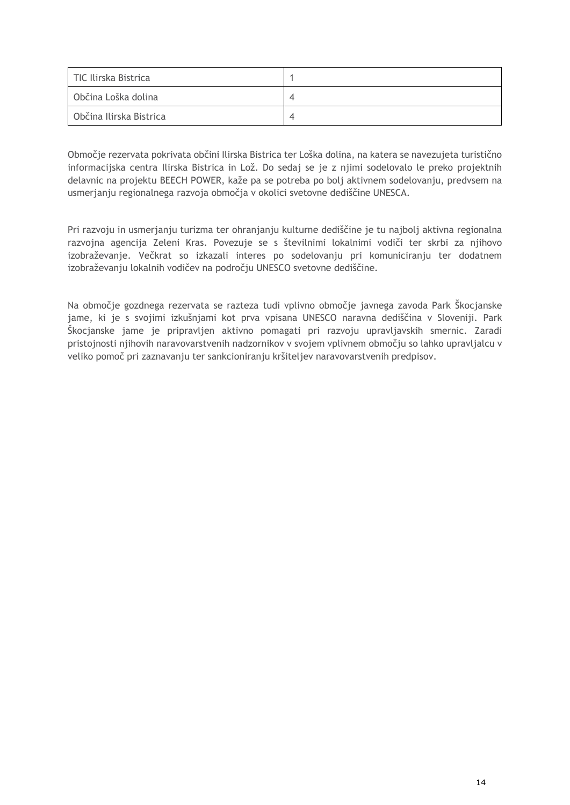| TIC Ilirska Bistrica    |   |
|-------------------------|---|
| Občina Loška dolina     | 4 |
| Občina Ilirska Bistrica | ◢ |

Območje rezervata pokrivata občini Ilirska Bistrica ter Loška dolina, na katera se navezujeta turistično informacijska centra Ilirska Bistrica in Lož. Do sedaj se je z njimi sodelovalo le preko projektnih delavnic na projektu BEECH POWER, kaže pa se potreba po bolj aktivnem sodelovanju, predvsem na usmerjanju regionalnega razvoja območja v okolici svetovne dediščine UNESCA.

Pri razvoju in usmerjanju turizma ter ohranjanju kulturne dediščine je tu najbolj aktivna regionalna razvojna agencija Zeleni Kras. Povezuje se s številnimi lokalnimi vodiči ter skrbi za njihovo izobraževanje. Večkrat so izkazali interes po sodelovanju pri komuniciranju ter dodatnem izobraževanju lokalnih vodičev na področju UNESCO svetovne dediščine.

Na območje gozdnega rezervata se razteza tudi vplivno območje javnega zavoda Park Škocjanske jame, ki je s svojimi izkušnjami kot prva vpisana UNESCO naravna dediščina v Sloveniji. Park Škocjanske jame je pripravljen aktivno pomagati pri razvoju upravljavskih smernic. Zaradi pristojnosti njihovih naravovarstvenih nadzornikov v svojem vplivnem območju so lahko upravljalcu v veliko pomoč pri zaznavanju ter sankcioniranju kršiteljev naravovarstvenih predpisov.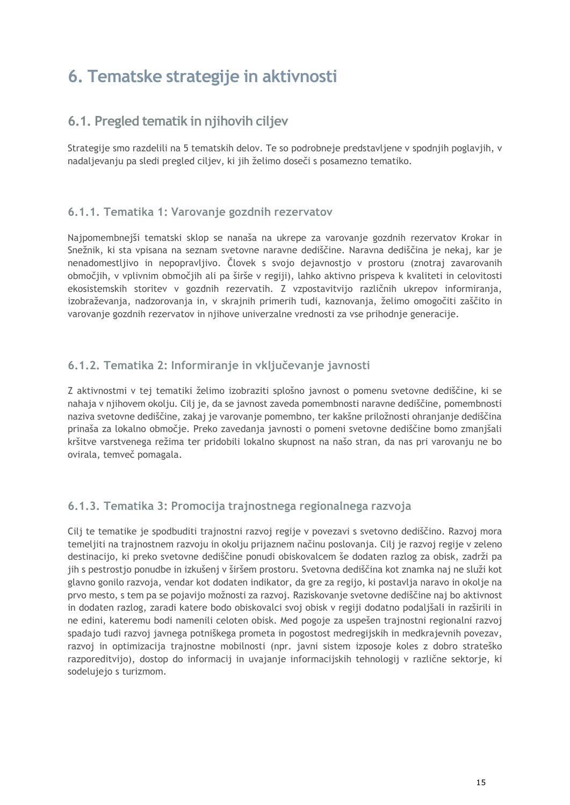## <span id="page-18-0"></span>**6. Tematske strategije in aktivnosti**

## <span id="page-18-1"></span>**6.1. Pregled tematik in njihovih ciljev**

Strategije smo razdelili na 5 tematskih delov. Te so podrobneje predstavljene v spodnjih poglavjih, v nadaljevanju pa sledi pregled ciljev, ki jih želimo doseči s posamezno tematiko.

## <span id="page-18-2"></span>**6.1.1. Tematika 1: Varovanje gozdnih rezervatov**

Najpomembnejši tematski sklop se nanaša na ukrepe za varovanje gozdnih rezervatov Krokar in Snežnik, ki sta vpisana na seznam svetovne naravne dediščine. Naravna dediščina je nekaj, kar je nenadomestljivo in nepopravljivo. Človek s svojo dejavnostjo v prostoru (znotraj zavarovanih območjih, v vplivnim območjih ali pa širše v regiji), lahko aktivno prispeva k kvaliteti in celovitosti ekosistemskih storitev v gozdnih rezervatih. Z vzpostavitvijo različnih ukrepov informiranja, izobraževanja, nadzorovanja in, v skrajnih primerih tudi, kaznovanja, želimo omogočiti zaščito in varovanje gozdnih rezervatov in njihove univerzalne vrednosti za vse prihodnje generacije.

## <span id="page-18-3"></span>**6.1.2. Tematika 2: Informiranje in vključevanje javnosti**

Z aktivnostmi v tej tematiki želimo izobraziti splošno javnost o pomenu svetovne dediščine, ki se nahaja v njihovem okolju. Cilj je, da se javnost zaveda pomembnosti naravne dediščine, pomembnosti naziva svetovne dediščine, zakaj je varovanje pomembno, ter kakšne priložnosti ohranjanje dediščina prinaša za lokalno območje. Preko zavedanja javnosti o pomeni svetovne dediščine bomo zmanjšali kršitve varstvenega režima ter pridobili lokalno skupnost na našo stran, da nas pri varovanju ne bo ovirala, temveč pomagala.

## <span id="page-18-4"></span>**6.1.3. Tematika 3: Promocija trajnostnega regionalnega razvoja**

Cilj te tematike je spodbuditi trajnostni razvoj regije v povezavi s svetovno dediščino. Razvoj mora temeljiti na trajnostnem razvoju in okolju prijaznem načinu poslovanja. Cilj je razvoj regije v zeleno destinacijo, ki preko svetovne dediščine ponudi obiskovalcem še dodaten razlog za obisk, zadrži pa jih s pestrostjo ponudbe in izkušenj v širšem prostoru. Svetovna dediščina kot znamka naj ne služi kot glavno gonilo razvoja, vendar kot dodaten indikator, da gre za regijo, ki postavlja naravo in okolje na prvo mesto, s tem pa se pojavijo možnosti za razvoj. Raziskovanje svetovne dediščine naj bo aktivnost in dodaten razlog, zaradi katere bodo obiskovalci svoj obisk v regiji dodatno podaljšali in razširili in ne edini, kateremu bodi namenili celoten obisk. Med pogoje za uspešen trajnostni regionalni razvoj spadajo tudi razvoj javnega potniškega prometa in pogostost medregijskih in medkrajevnih povezav, razvoj in optimizacija trajnostne mobilnosti (npr. javni sistem izposoje koles z dobro strateško razporeditvijo), dostop do informacij in uvajanje informacijskih tehnologij v različne sektorje, ki sodelujejo s turizmom.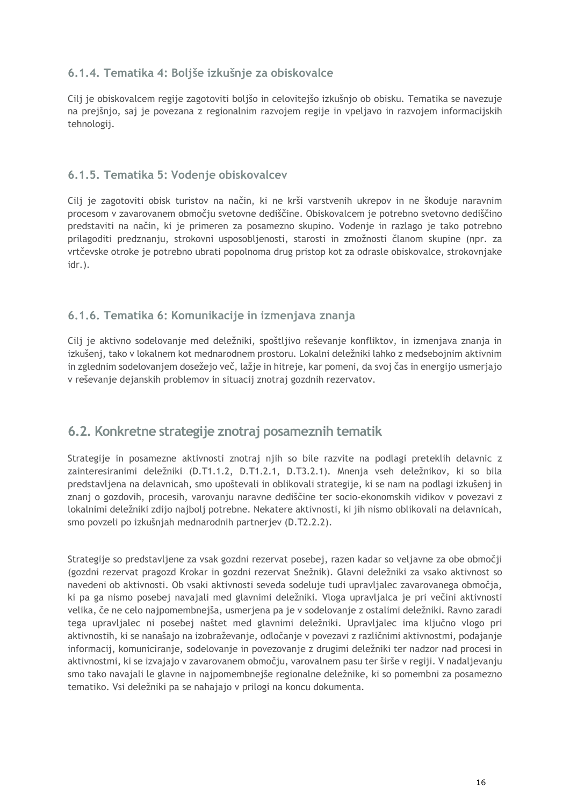## <span id="page-19-0"></span>**6.1.4. Tematika 4: Boljše izkušnje za obiskovalce**

Cilj je obiskovalcem regije zagotoviti boljšo in celovitejšo izkušnjo ob obisku. Tematika se navezuje na prejšnjo, saj je povezana z regionalnim razvojem regije in vpeljavo in razvojem informacijskih tehnologij.

#### <span id="page-19-1"></span>**6.1.5. Tematika 5: Vodenje obiskovalcev**

Cilj je zagotoviti obisk turistov na način, ki ne krši varstvenih ukrepov in ne škoduje naravnim procesom v zavarovanem območju svetovne dediščine. Obiskovalcem je potrebno svetovno dediščino predstaviti na način, ki je primeren za posamezno skupino. Vodenje in razlago je tako potrebno prilagoditi predznanju, strokovni usposobljenosti, starosti in zmožnosti članom skupine (npr. za vrtčevske otroke je potrebno ubrati popolnoma drug pristop kot za odrasle obiskovalce, strokovnjake idr.).

### <span id="page-19-2"></span>**6.1.6. Tematika 6: Komunikacije in izmenjava znanja**

Cilj je aktivno sodelovanje med deležniki, spoštljivo reševanje konfliktov, in izmenjava znanja in izkušenj, tako v lokalnem kot mednarodnem prostoru. Lokalni deležniki lahko z medsebojnim aktivnim in zglednim sodelovanjem dosežejo več, lažje in hitreje, kar pomeni, da svoj čas in energijo usmerjajo v reševanje dejanskih problemov in situacij znotraj gozdnih rezervatov.

## <span id="page-19-3"></span>**6.2. Konkretne strategije znotraj posameznih tematik**

Strategije in posamezne aktivnosti znotraj njih so bile razvite na podlagi preteklih delavnic z zainteresiranimi deležniki (D.T1.1.2, D.T1.2.1, D.T3.2.1). Mnenja vseh deležnikov, ki so bila predstavljena na delavnicah, smo upoštevali in oblikovali strategije, ki se nam na podlagi izkušenj in znanj o gozdovih, procesih, varovanju naravne dediščine ter socio-ekonomskih vidikov v povezavi z lokalnimi deležniki zdijo najbolj potrebne. Nekatere aktivnosti, ki jih nismo oblikovali na delavnicah, smo povzeli po izkušnjah mednarodnih partnerjev (D.T2.2.2).

Strategije so predstavljene za vsak gozdni rezervat posebej, razen kadar so veljavne za obe območji (gozdni rezervat pragozd Krokar in gozdni rezervat Snežnik). Glavni deležniki za vsako aktivnost so navedeni ob aktivnosti. Ob vsaki aktivnosti seveda sodeluje tudi upravljalec zavarovanega območja, ki pa ga nismo posebej navajali med glavnimi deležniki. Vloga upravljalca je pri večini aktivnosti velika, če ne celo najpomembnejša, usmerjena pa je v sodelovanje z ostalimi deležniki. Ravno zaradi tega upravljalec ni posebej naštet med glavnimi deležniki. Upravljalec ima ključno vlogo pri aktivnostih, ki se nanašajo na izobraževanje, odločanje v povezavi z različnimi aktivnostmi, podajanje informacij, komuniciranje, sodelovanje in povezovanje z drugimi deležniki ter nadzor nad procesi in aktivnostmi, ki se izvajajo v zavarovanem območju, varovalnem pasu ter širše v regiji. V nadaljevanju smo tako navajali le glavne in najpomembnejše regionalne deležnike, ki so pomembni za posamezno tematiko. Vsi deležniki pa se nahajajo v prilogi na koncu dokumenta.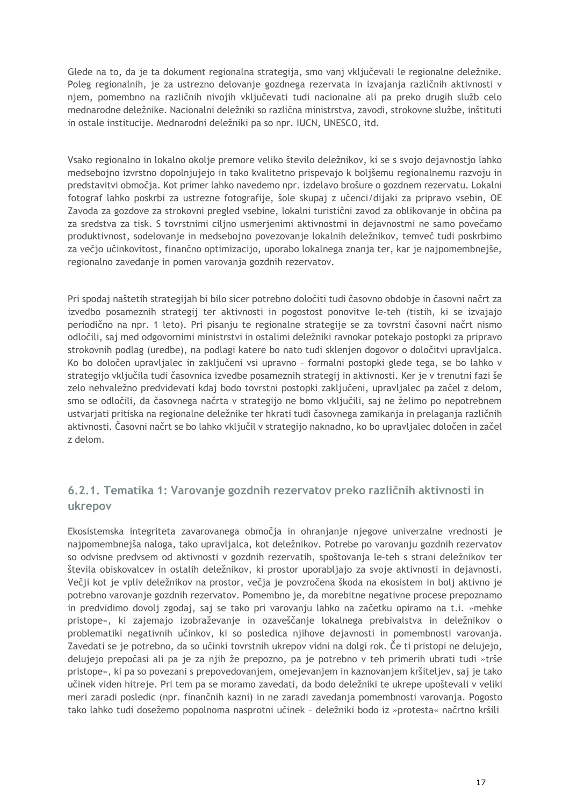Glede na to, da je ta dokument regionalna strategija, smo vanj vključevali le regionalne deležnike. Poleg regionalnih, je za ustrezno delovanje gozdnega rezervata in izvajanja različnih aktivnosti v njem, pomembno na različnih nivojih vključevati tudi nacionalne ali pa preko drugih služb celo mednarodne deležnike. Nacionalni deležniki so različna ministrstva, zavodi, strokovne službe, inštituti in ostale institucije. Mednarodni deležniki pa so npr. IUCN, UNESCO, itd.

Vsako regionalno in lokalno okolje premore veliko število deležnikov, ki se s svojo dejavnostjo lahko medsebojno izvrstno dopolnjujejo in tako kvalitetno prispevajo k boljšemu regionalnemu razvoju in predstavitvi območja. Kot primer lahko navedemo npr. izdelavo brošure o gozdnem rezervatu. Lokalni fotograf lahko poskrbi za ustrezne fotografije, šole skupaj z učenci/dijaki za pripravo vsebin, OE Zavoda za gozdove za strokovni pregled vsebine, lokalni turistični zavod za oblikovanje in občina pa za sredstva za tisk. S tovrstnimi ciljno usmerjenimi aktivnostmi in dejavnostmi ne samo povečamo produktivnost, sodelovanje in medsebojno povezovanje lokalnih deležnikov, temveč tudi poskrbimo za večjo učinkovitost, finančno optimizacijo, uporabo lokalnega znanja ter, kar je najpomembnejše, regionalno zavedanje in pomen varovanja gozdnih rezervatov.

Pri spodaj naštetih strategijah bi bilo sicer potrebno določiti tudi časovno obdobje in časovni načrt za izvedbo posameznih strategij ter aktivnosti in pogostost ponovitve le-teh (tistih, ki se izvajajo periodično na npr. 1 leto). Pri pisanju te regionalne strategije se za tovrstni časovni načrt nismo odločili, saj med odgovornimi ministrstvi in ostalimi deležniki ravnokar potekajo postopki za pripravo strokovnih podlag (uredbe), na podlagi katere bo nato tudi sklenjen dogovor o določitvi upravljalca. Ko bo določen upravljalec in zaključeni vsi upravno – formalni postopki glede tega, se bo lahko v strategijo vključila tudi časovnica izvedbe posameznih strategij in aktivnosti. Ker je v trenutni fazi še zelo nehvaležno predvidevati kdaj bodo tovrstni postopki zaključeni, upravljalec pa začel z delom, smo se odločili, da časovnega načrta v strategijo ne bomo vključili, saj ne želimo po nepotrebnem ustvarjati pritiska na regionalne deležnike ter hkrati tudi časovnega zamikanja in prelaganja različnih aktivnosti. Časovni načrt se bo lahko vključil v strategijo naknadno, ko bo upravljalec določen in začel z delom.

## <span id="page-20-0"></span>**6.2.1. Tematika 1: Varovanje gozdnih rezervatov preko različnih aktivnosti in ukrepov**

Ekosistemska integriteta zavarovanega območja in ohranjanje njegove univerzalne vrednosti je najpomembnejša naloga, tako upravljalca, kot deležnikov. Potrebe po varovanju gozdnih rezervatov so odvisne predvsem od aktivnosti v gozdnih rezervatih, spoštovanja le-teh s strani deležnikov ter števila obiskovalcev in ostalih deležnikov, ki prostor uporabljajo za svoje aktivnosti in dejavnosti. Večji kot je vpliv deležnikov na prostor, večja je povzročena škoda na ekosistem in bolj aktivno je potrebno varovanje gozdnih rezervatov. Pomembno je, da morebitne negativne procese prepoznamo in predvidimo dovolj zgodaj, saj se tako pri varovanju lahko na začetku opiramo na t.i. »mehke pristope«, ki zajemajo izobraževanje in ozaveščanje lokalnega prebivalstva in deležnikov o problematiki negativnih učinkov, ki so posledica njihove dejavnosti in pomembnosti varovanja. Zavedati se je potrebno, da so učinki tovrstnih ukrepov vidni na dolgi rok. Če ti pristopi ne delujejo, delujejo prepočasi ali pa je za njih že prepozno, pa je potrebno v teh primerih ubrati tudi »trše pristope«, ki pa so povezani s prepovedovanjem, omejevanjem in kaznovanjem kršiteljev, saj je tako učinek viden hitreje. Pri tem pa se moramo zavedati, da bodo deležniki te ukrepe upoštevali v veliki meri zaradi posledic (npr. finančnih kazni) in ne zaradi zavedanja pomembnosti varovanja. Pogosto tako lahko tudi dosežemo popolnoma nasprotni učinek – deležniki bodo iz »protesta« načrtno kršili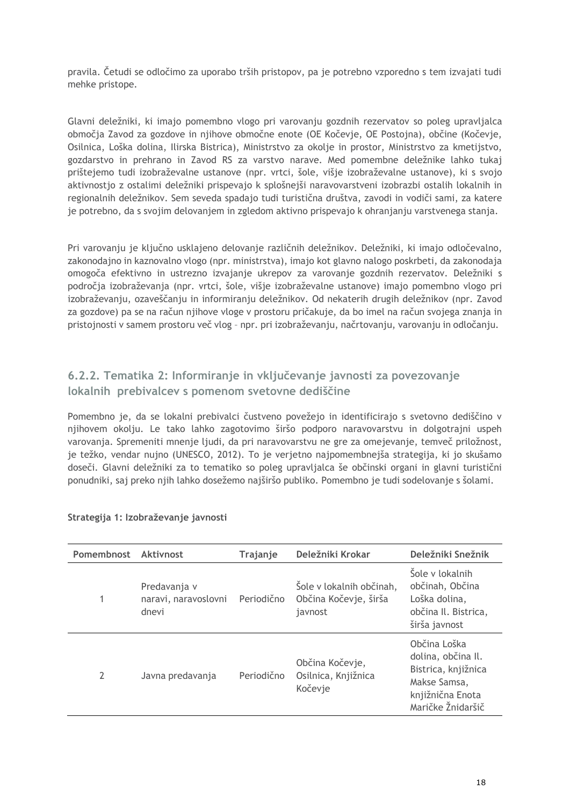pravila. Četudi se odločimo za uporabo trših pristopov, pa je potrebno vzporedno s tem izvajati tudi mehke pristope.

Glavni deležniki, ki imajo pomembno vlogo pri varovanju gozdnih rezervatov so poleg upravljalca območja Zavod za gozdove in njihove območne enote (OE Kočevje, OE Postojna), občine (Kočevje, Osilnica, Loška dolina, Ilirska Bistrica), Ministrstvo za okolje in prostor, Ministrstvo za kmetijstvo, gozdarstvo in prehrano in Zavod RS za varstvo narave. Med pomembne deležnike lahko tukaj prištejemo tudi izobraževalne ustanove (npr. vrtci, šole, višje izobraževalne ustanove), ki s svojo aktivnostjo z ostalimi deležniki prispevajo k splošnejši naravovarstveni izobrazbi ostalih lokalnih in regionalnih deležnikov. Sem seveda spadajo tudi turistična društva, zavodi in vodiči sami, za katere je potrebno, da s svojim delovanjem in zgledom aktivno prispevajo k ohranjanju varstvenega stanja.

Pri varovanju je ključno usklajeno delovanje različnih deležnikov. Deležniki, ki imajo odločevalno, zakonodajno in kaznovalno vlogo (npr. ministrstva), imajo kot glavno nalogo poskrbeti, da zakonodaja omogoča efektivno in ustrezno izvajanje ukrepov za varovanje gozdnih rezervatov. Deležniki s področja izobraževanja (npr. vrtci, šole, višje izobraževalne ustanove) imajo pomembno vlogo pri izobraževanju, ozaveščanju in informiranju deležnikov. Od nekaterih drugih deležnikov (npr. Zavod za gozdove) pa se na račun njihove vloge v prostoru pričakuje, da bo imel na račun svojega znanja in pristojnosti v samem prostoru več vlog – npr. pri izobraževanju, načrtovanju, varovanju in odločanju.

## <span id="page-21-0"></span>**6.2.2. Tematika 2: Informiranje in vključevanje javnosti za povezovanje lokalnih prebivalcev s pomenom svetovne dediščine**

Pomembno je, da se lokalni prebivalci čustveno povežejo in identificirajo s svetovno dediščino v njihovem okolju. Le tako lahko zagotovimo širšo podporo naravovarstvu in dolgotrajni uspeh varovanja. Spremeniti mnenje ljudi, da pri naravovarstvu ne gre za omejevanje, temveč priložnost, je težko, vendar nujno (UNESCO, 2012). To je verjetno najpomembnejša strategija, ki jo skušamo doseči. Glavni deležniki za to tematiko so poleg upravljalca še občinski organi in glavni turistični ponudniki, saj preko njih lahko dosežemo najširšo publiko. Pomembno je tudi sodelovanje s šolami.

| Pomembnost | <b>Aktivnost</b>                              | Trajanje   | Deležniki Krokar                                             | Deležniki Snežnik                                                                                                  |
|------------|-----------------------------------------------|------------|--------------------------------------------------------------|--------------------------------------------------------------------------------------------------------------------|
|            | Predavanja v<br>naravi, naravoslovni<br>dnevi | Periodično | Šole v lokalnih občinah,<br>Občina Kočevje, širša<br>javnost | Šole v lokalnih<br>občinah, Občina<br>Loška dolina,<br>občina Il. Bistrica,<br>širša javnost                       |
| 2          | Javna predavanja                              | Periodično | Občina Kočevje,<br>Osilnica, Knjižnica<br>Kočevje            | Občina Loška<br>dolina, občina Il.<br>Bistrica, knjižnica<br>Makse Samsa,<br>knjižnična Enota<br>Maričke Žnidaršič |

#### **Strategija 1: Izobraževanje javnosti**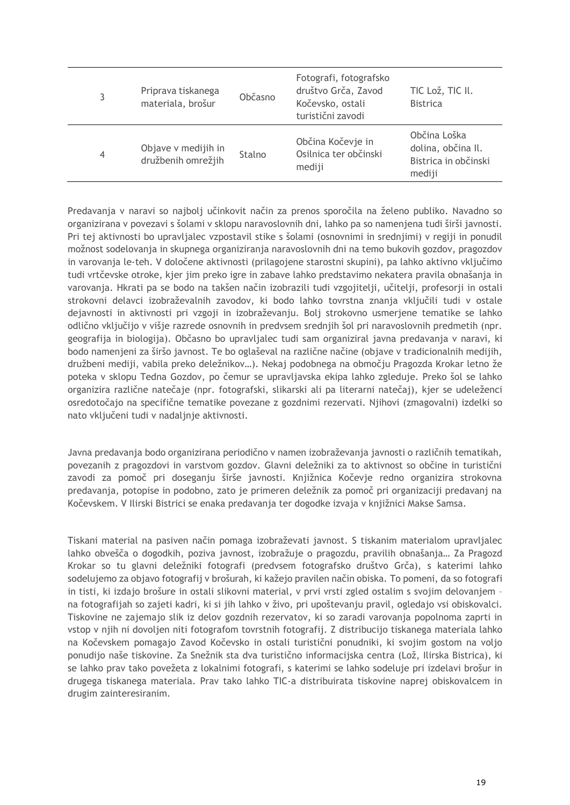| 3 | Priprava tiskanega<br>materiala, brošur   | Občasno | Fotografi, fotografsko<br>društvo Grča, Zavod<br>Kočevsko, ostali<br>turistični zavodi | TIC Lož, TIC II.<br><b>Bistrica</b>                                  |
|---|-------------------------------------------|---------|----------------------------------------------------------------------------------------|----------------------------------------------------------------------|
| 4 | Objave v medijih in<br>družbenih omrežjih | Stalno  | Občina Kočevje in<br>Osilnica ter občinski<br>mediji                                   | Občina Loška<br>dolina, občina II.<br>Bistrica in občinski<br>mediji |

Predavanja v naravi so najbolj učinkovit način za prenos sporočila na želeno publiko. Navadno so organizirana v povezavi s šolami v sklopu naravoslovnih dni, lahko pa so namenjena tudi širši javnosti. Pri tej aktivnosti bo upravljalec vzpostavil stike s šolami (osnovnimi in srednjimi) v regiji in ponudil možnost sodelovanja in skupnega organiziranja naravoslovnih dni na temo bukovih gozdov, pragozdov in varovanja le-teh. V določene aktivnosti (prilagojene starostni skupini), pa lahko aktivno vključimo tudi vrtčevske otroke, kjer jim preko igre in zabave lahko predstavimo nekatera pravila obnašanja in varovanja. Hkrati pa se bodo na takšen način izobrazili tudi vzgojitelji, učitelji, profesorji in ostali strokovni delavci izobraževalnih zavodov, ki bodo lahko tovrstna znanja vključili tudi v ostale dejavnosti in aktivnosti pri vzgoji in izobraževanju. Bolj strokovno usmerjene tematike se lahko odlično vključijo v višje razrede osnovnih in predvsem srednjih šol pri naravoslovnih predmetih (npr. geografija in biologija). Občasno bo upravljalec tudi sam organiziral javna predavanja v naravi, ki bodo namenjeni za širšo javnost. Te bo oglaševal na različne načine (objave v tradicionalnih medijih, družbeni mediji, vabila preko deležnikov…). Nekaj podobnega na območju Pragozda Krokar letno že poteka v sklopu Tedna Gozdov, po čemur se upravljavska ekipa lahko zgleduje. Preko šol se lahko organizira različne natečaje (npr. fotografski, slikarski ali pa literarni natečaj), kjer se udeleženci osredotočajo na specifične tematike povezane z gozdnimi rezervati. Njihovi (zmagovalni) izdelki so nato vključeni tudi v nadaljnje aktivnosti.

Javna predavanja bodo organizirana periodično v namen izobraževanja javnosti o različnih tematikah, povezanih z pragozdovi in varstvom gozdov. Glavni deležniki za to aktivnost so občine in turistični zavodi za pomoč pri doseganju širše javnosti. Knjižnica Kočevje redno organizira strokovna predavanja, potopise in podobno, zato je primeren deležnik za pomoč pri organizaciji predavanj na Kočevskem. V Ilirski Bistrici se enaka predavanja ter dogodke izvaja v knjižnici Makse Samsa.

Tiskani material na pasiven način pomaga izobraževati javnost. S tiskanim materialom upravljalec lahko obvešča o dogodkih, poziva javnost, izobražuje o pragozdu, pravilih obnašanja… Za Pragozd Krokar so tu glavni deležniki fotografi (predvsem fotografsko društvo Grča), s katerimi lahko sodelujemo za objavo fotografij v brošurah, ki kažejo pravilen način obiska. To pomeni, da so fotografi in tisti, ki izdajo brošure in ostali slikovni material, v prvi vrsti zgled ostalim s svojim delovanjem – na fotografijah so zajeti kadri, ki si jih lahko v živo, pri upoštevanju pravil, ogledajo vsi obiskovalci. Tiskovine ne zajemajo slik iz delov gozdnih rezervatov, ki so zaradi varovanja popolnoma zaprti in vstop v njih ni dovoljen niti fotografom tovrstnih fotografij. Z distribucijo tiskanega materiala lahko na Kočevskem pomagajo Zavod Kočevsko in ostali turistični ponudniki, ki svojim gostom na voljo ponudijo naše tiskovine. Za Snežnik sta dva turistično informacijska centra (Lož, Ilirska Bistrica), ki se lahko prav tako povežeta z lokalnimi fotografi, s katerimi se lahko sodeluje pri izdelavi brošur in drugega tiskanega materiala. Prav tako lahko TIC-a distribuirata tiskovine naprej obiskovalcem in drugim zainteresiranim.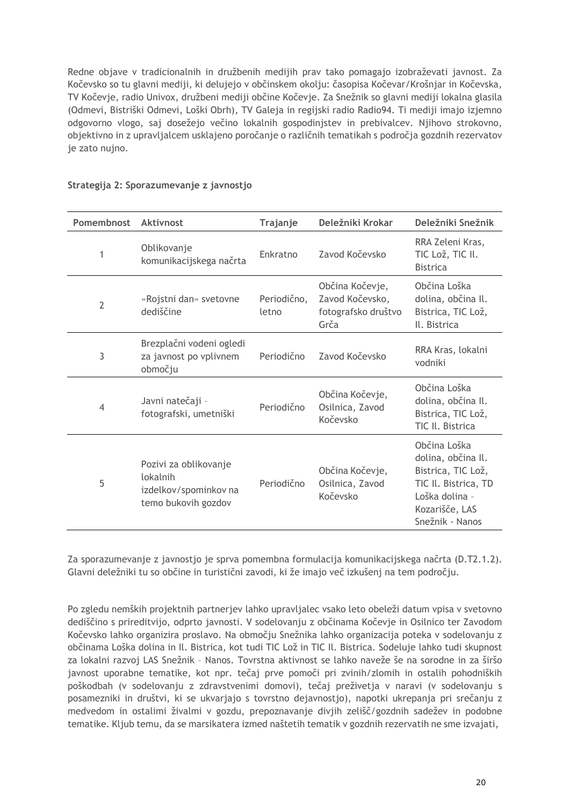Redne objave v tradicionalnih in družbenih medijih prav tako pomagajo izobraževati javnost. Za Kočevsko so tu glavni mediji, ki delujejo v občinskem okolju: časopisa Kočevar/Krošnjar in Kočevska, TV Kočevje, radio Univox, družbeni mediji občine Kočevje. Za Snežnik so glavni mediji lokalna glasila (Odmevi, Bistriški Odmevi, Loški Obrh), TV Galeja in regijski radio Radio94. Ti mediji imajo izjemno odgovorno vlogo, saj dosežejo večino lokalnih gospodinjstev in prebivalcev. Njihovo strokovno, objektivno in z upravljalcem usklajeno poročanje o različnih tematikah s področja gozdnih rezervatov je zato nujno.

| Pomembnost     | Aktivnost                                                                         | Trajanje             | Deležniki Krokar                                                  | Deležniki Snežnik                                                                                                                       |
|----------------|-----------------------------------------------------------------------------------|----------------------|-------------------------------------------------------------------|-----------------------------------------------------------------------------------------------------------------------------------------|
| 1              | Oblikovanje<br>komunikacijskega načrta                                            | Enkratno             | Zavod Kočevsko                                                    | RRA Zeleni Kras,<br>TIC Lož, TIC II.<br><b>Bistrica</b>                                                                                 |
| $\overline{2}$ | »Rojstni dan« svetovne<br>dediščine                                               | Periodično,<br>letno | Občina Kočevje,<br>Zavod Kočevsko,<br>fotografsko društvo<br>Grča | Občina Loška<br>dolina, občina Il.<br>Bistrica, TIC Lož,<br>Il. Bistrica                                                                |
| 3              | Brezplačni vodeni ogledi<br>za javnost po vplivnem<br>območju                     | Periodično           | Zavod Kočevsko                                                    | RRA Kras, lokalni<br>vodniki                                                                                                            |
| 4              | Javni natečaji -<br>fotografski, umetniški                                        | Periodično           | Občina Kočevje,<br>Osilnica, Zavod<br>Kočevsko                    | Občina Loška<br>dolina, občina Il.<br>Bistrica, TIC Lož,<br>TIC II. Bistrica                                                            |
| 5              | Pozivi za oblikovanje<br>lokalnih<br>izdelkov/spominkov na<br>temo bukovih gozdov | Periodično           | Občina Kočevje,<br>Osilnica, Zavod<br>Kočevsko                    | Občina Loška<br>dolina, občina Il.<br>Bistrica, TIC Lož,<br>TIC II. Bistrica, TD<br>Loška dolina -<br>Kozarišče, LAS<br>Snežnik - Nanos |

#### **Strategija 2: Sporazumevanje z javnostjo**

Za sporazumevanje z javnostjo je sprva pomembna formulacija komunikacijskega načrta (D.T2.1.2). Glavni deležniki tu so občine in turistični zavodi, ki že imajo več izkušenj na tem področju.

Po zgledu nemških projektnih partnerjev lahko upravljalec vsako leto obeleži datum vpisa v svetovno dediščino s prireditvijo, odprto javnosti. V sodelovanju z občinama Kočevje in Osilnico ter Zavodom Kočevsko lahko organizira proslavo. Na območju Snežnika lahko organizacija poteka v sodelovanju z občinama Loška dolina in Il. Bistrica, kot tudi TIC Lož in TIC Il. Bistrica. Sodeluje lahko tudi skupnost za lokalni razvoj LAS Snežnik – Nanos. Tovrstna aktivnost se lahko naveže še na sorodne in za širšo javnost uporabne tematike, kot npr. tečaj prve pomoči pri zvinih/zlomih in ostalih pohodniških poškodbah (v sodelovanju z zdravstvenimi domovi), tečaj preživetja v naravi (v sodelovanju s posamezniki in društvi, ki se ukvarjajo s tovrstno dejavnostjo), napotki ukrepanja pri srečanju z medvedom in ostalimi živalmi v gozdu, prepoznavanje divjih zelišč/gozdnih sadežev in podobne tematike. Kljub temu, da se marsikatera izmed naštetih tematik v gozdnih rezervatih ne sme izvajati,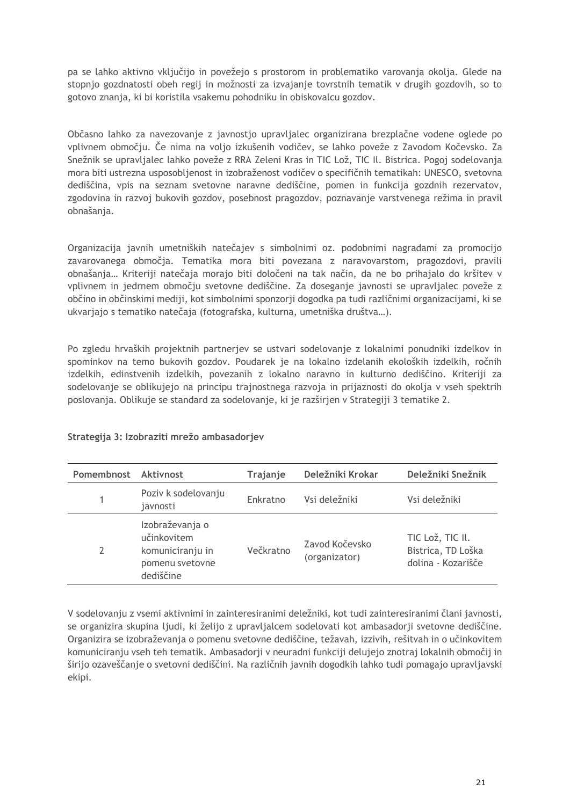pa se lahko aktivno vključijo in povežejo s prostorom in problematiko varovanja okolja. Glede na stopnjo gozdnatosti obeh regij in možnosti za izvajanje tovrstnih tematik v drugih gozdovih, so to gotovo znanja, ki bi koristila vsakemu pohodniku in obiskovalcu gozdov.

Občasno lahko za navezovanje z javnostjo upravljalec organizirana brezplačne vodene oglede po vplivnem območju. Če nima na voljo izkušenih vodičev, se lahko poveže z Zavodom Kočevsko. Za Snežnik se upravljalec lahko poveže z RRA Zeleni Kras in TIC Lož, TIC Il. Bistrica. Pogoj sodelovanja mora biti ustrezna usposobljenost in izobraženost vodičev o specifičnih tematikah: UNESCO, svetovna dediščina, vpis na seznam svetovne naravne dediščine, pomen in funkcija gozdnih rezervatov, zgodovina in razvoj bukovih gozdov, posebnost pragozdov, poznavanje varstvenega režima in pravil obnašanja.

Organizacija javnih umetniških natečajev s simbolnimi oz. podobnimi nagradami za promocijo zavarovanega območja. Tematika mora biti povezana z naravovarstom, pragozdovi, pravili obnašanja… Kriteriji natečaja morajo biti določeni na tak način, da ne bo prihajalo do kršitev v vplivnem in jedrnem območju svetovne dediščine. Za doseganje javnosti se upravljalec poveže z občino in občinskimi mediji, kot simbolnimi sponzorji dogodka pa tudi različnimi organizacijami, ki se ukvarjajo s tematiko natečaja (fotografska, kulturna, umetniška društva…).

Po zgledu hrvaških projektnih partnerjev se ustvari sodelovanje z lokalnimi ponudniki izdelkov in spominkov na temo bukovih gozdov. Poudarek je na lokalno izdelanih ekoloških izdelkih, ročnih izdelkih, edinstvenih izdelkih, povezanih z lokalno naravno in kulturno dediščino. Kriteriji za sodelovanje se oblikujejo na principu trajnostnega razvoja in prijaznosti do okolja v vseh spektrih poslovanja. Oblikuje se standard za sodelovanje, ki je razširjen v Strategiji 3 tematike 2.

| Pomembnost Aktivnost |                                                                                    | Trajanje  | Deležniki Krokar                | Deležniki Snežnik                                            |
|----------------------|------------------------------------------------------------------------------------|-----------|---------------------------------|--------------------------------------------------------------|
|                      | Poziv k sodelovanju<br>javnosti                                                    | Enkratno  | Vsi deležniki                   | Vsi deležniki                                                |
| 2                    | Izobraževanja o<br>učinkovitem<br>komuniciranju in<br>pomenu svetovne<br>dediščine | Večkratno | Zavod Kočevsko<br>(organizator) | TIC Lož, TIC II.<br>Bistrica, TD Loška<br>dolina - Kozarišče |

#### **Strategija 3: Izobraziti mrežo ambasadorjev**

V sodelovanju z vsemi aktivnimi in zainteresiranimi deležniki, kot tudi zainteresiranimi člani javnosti, se organizira skupina ljudi, ki želijo z upravljalcem sodelovati kot ambasadorji svetovne dediščine. Organizira se izobraževanja o pomenu svetovne dediščine, težavah, izzivih, rešitvah in o učinkovitem komuniciranju vseh teh tematik. Ambasadorji v neuradni funkciji delujejo znotraj lokalnih območij in širijo ozaveščanje o svetovni dediščini. Na različnih javnih dogodkih lahko tudi pomagajo upravljavski ekipi.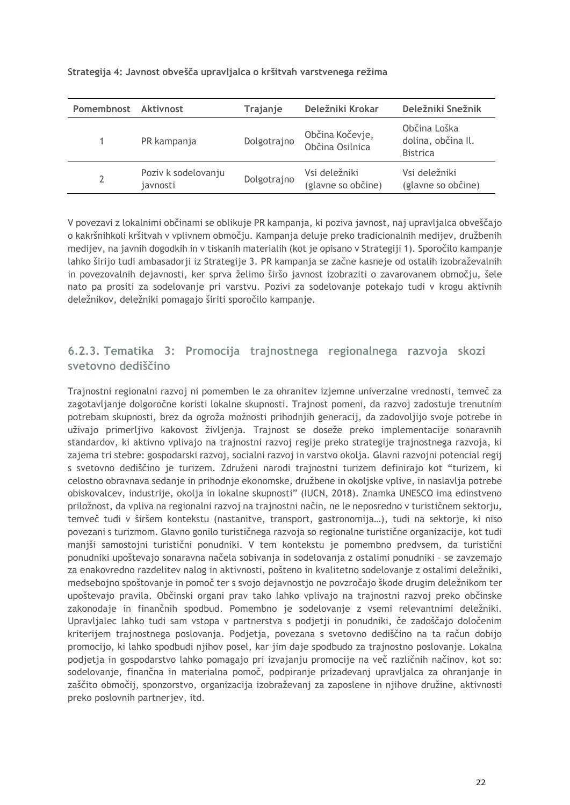| Pomembnost Aktivnost |                                 | Trajanje    | Deležniki Krokar                    | Deležniki Snežnik                                     |
|----------------------|---------------------------------|-------------|-------------------------------------|-------------------------------------------------------|
|                      | PR kampanja                     | Dolgotrajno | Občina Kočevje,<br>Občina Osilnica  | Občina Loška<br>dolina, občina Il.<br><b>Bistrica</b> |
|                      | Poziv k sodelovanju<br>javnosti | Dolgotrajno | Vsi deležniki<br>(glavne so občine) | Vsi deležniki<br>(glavne so občine)                   |

#### **Strategija 4: Javnost obvešča upravljalca o kršitvah varstvenega režima**

V povezavi z lokalnimi občinami se oblikuje PR kampanja, ki poziva javnost, naj upravljalca obveščajo o kakršnihkoli kršitvah v vplivnem območju. Kampanja deluje preko tradicionalnih medijev, družbenih medijev, na javnih dogodkih in v tiskanih materialih (kot je opisano v Strategiji 1). Sporočilo kampanje lahko širijo tudi ambasadorji iz Strategije 3. PR kampanja se začne kasneje od ostalih izobraževalnih in povezovalnih dejavnosti, ker sprva želimo širšo javnost izobraziti o zavarovanem območju, šele nato pa prositi za sodelovanje pri varstvu. Pozivi za sodelovanje potekajo tudi v krogu aktivnih deležnikov, deležniki pomagajo širiti sporočilo kampanje.

## <span id="page-25-0"></span>**6.2.3. Tematika 3: Promocija trajnostnega regionalnega razvoja skozi svetovno dediščino**

Trajnostni regionalni razvoj ni pomemben le za ohranitev izjemne univerzalne vrednosti, temveč za zagotavljanje dolgoročne koristi lokalne skupnosti. Trajnost pomeni, da razvoj zadostuje trenutnim potrebam skupnosti, brez da ogroža možnosti prihodnjih generacij, da zadovoljijo svoje potrebe in uživajo primerljivo kakovost življenja. Trajnost se doseže preko implementacije sonaravnih standardov, ki aktivno vplivajo na trajnostni razvoj regije preko strategije trajnostnega razvoja, ki zajema tri stebre: gospodarski razvoj, socialni razvoj in varstvo okolja. Glavni razvojni potencial regij s svetovno dediščino je turizem. Združeni narodi trajnostni turizem definirajo kot "turizem, ki celostno obravnava sedanje in prihodnje ekonomske, družbene in okoljske vplive, in naslavlja potrebe obiskovalcev, industrije, okolja in lokalne skupnosti" (IUCN, 2018). Znamka UNESCO ima edinstveno priložnost, da vpliva na regionalni razvoj na trajnostni način, ne le neposredno v turističnem sektorju, temveč tudi v širšem kontekstu (nastanitve, transport, gastronomija…), tudi na sektorje, ki niso povezani s turizmom. Glavno gonilo turističnega razvoja so regionalne turistične organizacije, kot tudi manjši samostojni turistični ponudniki. V tem kontekstu je pomembno predvsem, da turistični ponudniki upoštevajo sonaravna načela sobivanja in sodelovanja z ostalimi ponudniki – se zavzemajo za enakovredno razdelitev nalog in aktivnosti, pošteno in kvalitetno sodelovanje z ostalimi deležniki, medsebojno spoštovanje in pomoč ter s svojo dejavnostjo ne povzročajo škode drugim deležnikom ter upoštevajo pravila. Občinski organi prav tako lahko vplivajo na trajnostni razvoj preko občinske zakonodaje in finančnih spodbud. Pomembno je sodelovanje z vsemi relevantnimi deležniki. Upravljalec lahko tudi sam vstopa v partnerstva s podjetji in ponudniki, če zadoščajo določenim kriterijem trajnostnega poslovanja. Podjetja, povezana s svetovno dediščino na ta račun dobijo promocijo, ki lahko spodbudi njihov posel, kar jim daje spodbudo za trajnostno poslovanje. Lokalna podjetja in gospodarstvo lahko pomagajo pri izvajanju promocije na več različnih načinov, kot so: sodelovanje, finančna in materialna pomoč, podpiranje prizadevanj upravljalca za ohranjanje in zaščito območij, sponzorstvo, organizacija izobraževanj za zaposlene in njihove družine, aktivnosti preko poslovnih partnerjev, itd.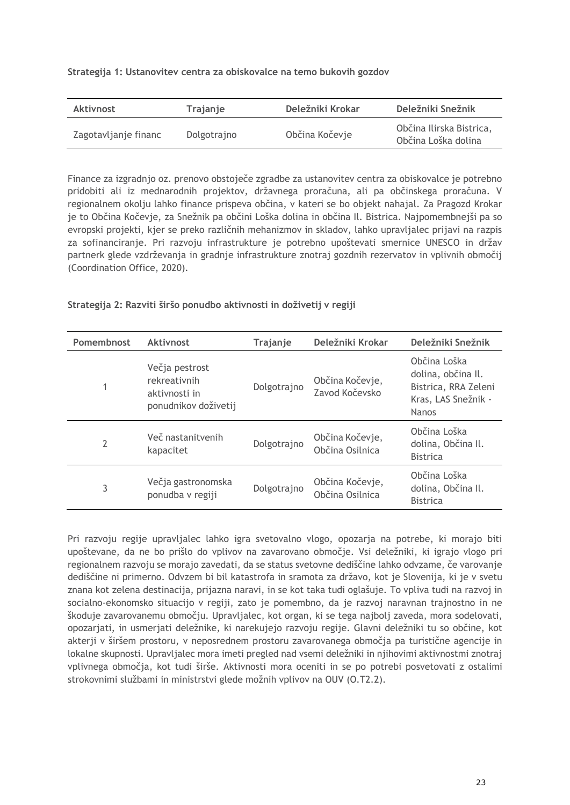#### **Strategija 1: Ustanovitev centra za obiskovalce na temo bukovih gozdov**

| Aktivnost            | <b>Trajanje</b> | Deležniki Krokar | Deležniki Snežnik                               |
|----------------------|-----------------|------------------|-------------------------------------------------|
| Zagotavljanje financ | Dolgotrajno     | Občina Kočevje   | Občina Ilirska Bistrica,<br>Občina Loška dolina |

Finance za izgradnjo oz. prenovo obstoječe zgradbe za ustanovitev centra za obiskovalce je potrebno pridobiti ali iz mednarodnih projektov, državnega proračuna, ali pa občinskega proračuna. V regionalnem okolju lahko finance prispeva občina, v kateri se bo objekt nahajal. Za Pragozd Krokar je to Občina Kočevje, za Snežnik pa občini Loška dolina in občina Il. Bistrica. Najpomembnejši pa so evropski projekti, kjer se preko različnih mehanizmov in skladov, lahko upravljalec prijavi na razpis za sofinanciranje. Pri razvoju infrastrukture je potrebno upoštevati smernice UNESCO in držav partnerk glede vzdrževanja in gradnje infrastrukture znotraj gozdnih rezervatov in vplivnih območij (Coordination Office, 2020).

#### **Strategija 2: Razviti širšo ponudbo aktivnosti in doživetij v regiji**

| Pomembnost | Aktivnost                                                               | Trajanje    | Deležniki Krokar                   | Deležniki Snežnik                                                                                 |
|------------|-------------------------------------------------------------------------|-------------|------------------------------------|---------------------------------------------------------------------------------------------------|
| 1          | Večja pestrost<br>rekreativnih<br>aktivnosti in<br>ponudnikov doživetij | Dolgotrajno | Občina Kočevje,<br>Zavod Kočevsko  | Občina Loška<br>dolina, občina Il.<br>Bistrica, RRA Zeleni<br>Kras, LAS Snežnik -<br><b>Nanos</b> |
| 2          | Več nastanitvenih<br>kapacitet                                          | Dolgotrajno | Občina Kočevje,<br>Občina Osilnica | Občina Loška<br>dolina, Občina II.<br><b>Bistrica</b>                                             |
| 3          | Večja gastronomska<br>ponudba v regiji                                  | Dolgotrajno | Občina Kočevje,<br>Občina Osilnica | Občina Loška<br>dolina, Občina Il.<br><b>Bistrica</b>                                             |

Pri razvoju regije upravljalec lahko igra svetovalno vlogo, opozarja na potrebe, ki morajo biti upoštevane, da ne bo prišlo do vplivov na zavarovano območje. Vsi deležniki, ki igrajo vlogo pri regionalnem razvoju se morajo zavedati, da se status svetovne dediščine lahko odvzame, če varovanje dediščine ni primerno. Odvzem bi bil katastrofa in sramota za državo, kot je Slovenija, ki je v svetu znana kot zelena destinacija, prijazna naravi, in se kot taka tudi oglašuje. To vpliva tudi na razvoj in socialno-ekonomsko situacijo v regiji, zato je pomembno, da je razvoj naravnan trajnostno in ne škoduje zavarovanemu območju. Upravljalec, kot organ, ki se tega najbolj zaveda, mora sodelovati, opozarjati, in usmerjati deležnike, ki narekujejo razvoju regije. Glavni deležniki tu so občine, kot akterji v širšem prostoru, v neposrednem prostoru zavarovanega območja pa turistične agencije in lokalne skupnosti. Upravljalec mora imeti pregled nad vsemi deležniki in njihovimi aktivnostmi znotraj vplivnega območja, kot tudi širše. Aktivnosti mora oceniti in se po potrebi posvetovati z ostalimi strokovnimi službami in ministrstvi glede možnih vplivov na OUV (O.T2.2).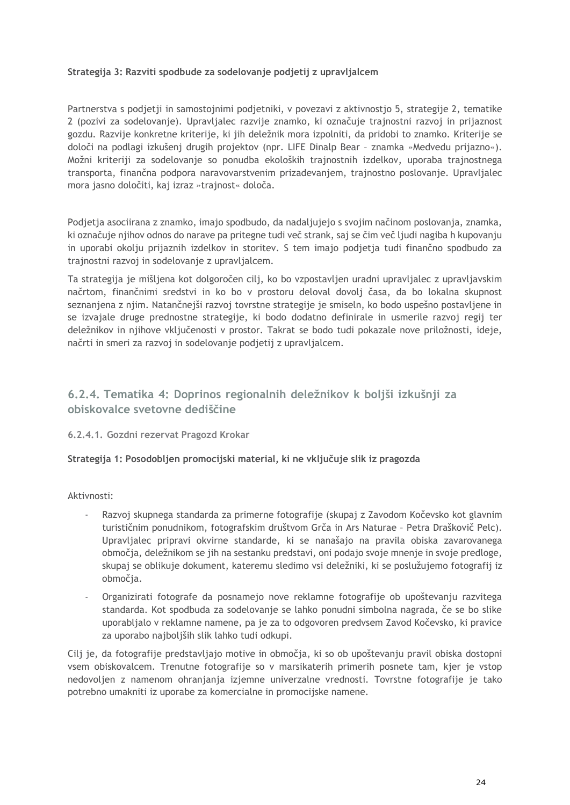#### **Strategija 3: Razviti spodbude za sodelovanje podjetij z upravljalcem**

Partnerstva s podjetji in samostojnimi podjetniki, v povezavi z aktivnostjo 5, strategije 2, tematike 2 (pozivi za sodelovanje). Upravljalec razvije znamko, ki označuje trajnostni razvoj in prijaznost gozdu. Razvije konkretne kriterije, ki jih deležnik mora izpolniti, da pridobi to znamko. Kriterije se določi na podlagi izkušenj drugih projektov (npr. LIFE Dinalp Bear – znamka »Medvedu prijazno«). Možni kriteriji za sodelovanje so ponudba ekoloških trajnostnih izdelkov, uporaba trajnostnega transporta, finančna podpora naravovarstvenim prizadevanjem, trajnostno poslovanje. Upravljalec mora jasno določiti, kaj izraz »trajnost« določa.

Podjetja asociirana z znamko, imajo spodbudo, da nadaljujejo s svojim načinom poslovanja, znamka, ki označuje njihov odnos do narave pa pritegne tudi več strank, saj se čim več ljudi nagiba h kupovanju in uporabi okolju prijaznih izdelkov in storitev. S tem imajo podjetja tudi finančno spodbudo za trajnostni razvoj in sodelovanje z upravljalcem.

Ta strategija je mišljena kot dolgoročen cilj, ko bo vzpostavljen uradni upravljalec z upravljavskim načrtom, finančnimi sredstvi in ko bo v prostoru deloval dovolj časa, da bo lokalna skupnost seznanjena z njim. Natančnejši razvoj tovrstne strategije je smiseln, ko bodo uspešno postavljene in se izvajale druge prednostne strategije, ki bodo dodatno definirale in usmerile razvoj regij ter deležnikov in njihove vključenosti v prostor. Takrat se bodo tudi pokazale nove priložnosti, ideje, načrti in smeri za razvoj in sodelovanje podjetij z upravljalcem.

## <span id="page-27-0"></span>**6.2.4. Tematika 4: Doprinos regionalnih deležnikov k boljši izkušnji za obiskovalce svetovne dediščine**

#### <span id="page-27-1"></span>**6.2.4.1. Gozdni rezervat Pragozd Krokar**

#### **Strategija 1: Posodobljen promocijski material, ki ne vključuje slik iz pragozda**

Aktivnosti:

- Razvoj skupnega standarda za primerne fotografije (skupaj z Zavodom Kočevsko kot glavnim turističnim ponudnikom, fotografskim društvom Grča in Ars Naturae – Petra Draškovič Pelc). Upravljalec pripravi okvirne standarde, ki se nanašajo na pravila obiska zavarovanega območja, deležnikom se jih na sestanku predstavi, oni podajo svoje mnenje in svoje predloge, skupaj se oblikuje dokument, kateremu sledimo vsi deležniki, ki se poslužujemo fotografij iz območja.
- Organizirati fotografe da posnamejo nove reklamne fotografije ob upoštevanju razvitega standarda. Kot spodbuda za sodelovanje se lahko ponudni simbolna nagrada, če se bo slike uporabljalo v reklamne namene, pa je za to odgovoren predvsem Zavod Kočevsko, ki pravice za uporabo najboljših slik lahko tudi odkupi.

Cilj je, da fotografije predstavljajo motive in območja, ki so ob upoštevanju pravil obiska dostopni vsem obiskovalcem. Trenutne fotografije so v marsikaterih primerih posnete tam, kjer je vstop nedovoljen z namenom ohranjanja izjemne univerzalne vrednosti. Tovrstne fotografije je tako potrebno umakniti iz uporabe za komercialne in promocijske namene.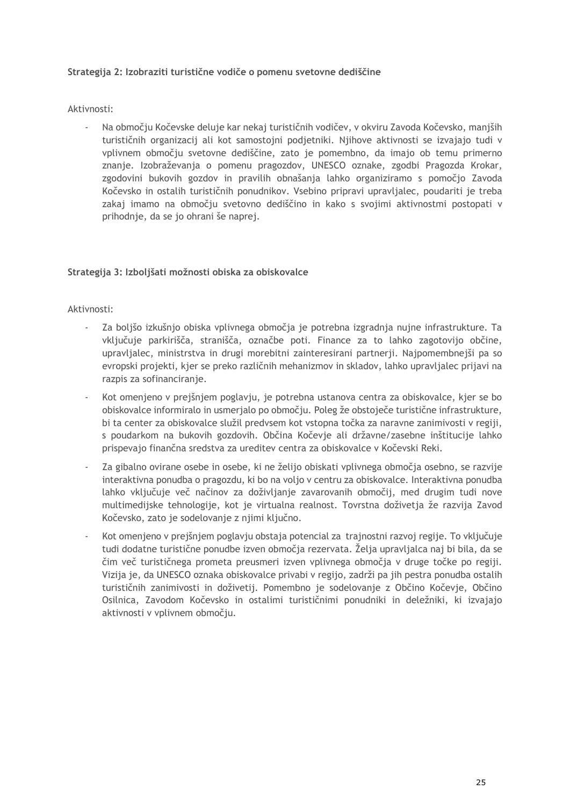#### **Strategija 2: Izobraziti turistične vodiče o pomenu svetovne dediščine**

#### Aktivnosti:

- Na območju Kočevske deluje kar nekaj turističnih vodičev, v okviru Zavoda Kočevsko, manjših turističnih organizacij ali kot samostojni podjetniki. Njihove aktivnosti se izvajajo tudi v vplivnem območju svetovne dediščine, zato je pomembno, da imajo ob temu primerno znanje. Izobraževanja o pomenu pragozdov, UNESCO oznake, zgodbi Pragozda Krokar, zgodovini bukovih gozdov in pravilih obnašanja lahko organiziramo s pomočjo Zavoda Kočevsko in ostalih turističnih ponudnikov. Vsebino pripravi upravljalec, poudariti je treba zakaj imamo na območju svetovno dediščino in kako s svojimi aktivnostmi postopati v prihodnje, da se jo ohrani še naprej.

#### **Strategija 3: Izboljšati možnosti obiska za obiskovalce**

#### Aktivnosti:

- Za boljšo izkušnjo obiska vplivnega območja je potrebna izgradnja nujne infrastrukture. Ta vključuje parkirišča, stranišča, označbe poti. Finance za to lahko zagotovijo občine, upravljalec, ministrstva in drugi morebitni zainteresirani partnerji. Najpomembnejši pa so evropski projekti, kjer se preko različnih mehanizmov in skladov, lahko upravljalec prijavi na razpis za sofinanciranje.
- Kot omenjeno v prejšnjem poglavju, je potrebna ustanova centra za obiskovalce, kjer se bo obiskovalce informiralo in usmerjalo po območju. Poleg že obstoječe turistične infrastrukture, bi ta center za obiskovalce služil predvsem kot vstopna točka za naravne zanimivosti v regiji, s poudarkom na bukovih gozdovih. Občina Kočevje ali državne/zasebne inštitucije lahko prispevajo finančna sredstva za ureditev centra za obiskovalce v Kočevski Reki.
- Za gibalno ovirane osebe in osebe, ki ne želijo obiskati vplivnega območja osebno, se razvije interaktivna ponudba o pragozdu, ki bo na voljo v centru za obiskovalce. Interaktivna ponudba lahko vključuje več načinov za doživljanje zavarovanih območij, med drugim tudi nove multimedijske tehnologije, kot je virtualna realnost. Tovrstna doživetja že razvija Zavod Kočevsko, zato je sodelovanje z njimi ključno.
- Kot omenjeno v prejšnjem poglavju obstaja potencial za trajnostni razvoj regije. To vključuje tudi dodatne turistične ponudbe izven območja rezervata. Želja upravljalca naj bi bila, da se čim več turističnega prometa preusmeri izven vplivnega območja v druge točke po regiji. Vizija je, da UNESCO oznaka obiskovalce privabi v regijo, zadrži pa jih pestra ponudba ostalih turističnih zanimivosti in doživetij. Pomembno je sodelovanje z Občino Kočevje, Občino Osilnica, Zavodom Kočevsko in ostalimi turističnimi ponudniki in deležniki, ki izvajajo aktivnosti v vplivnem območju.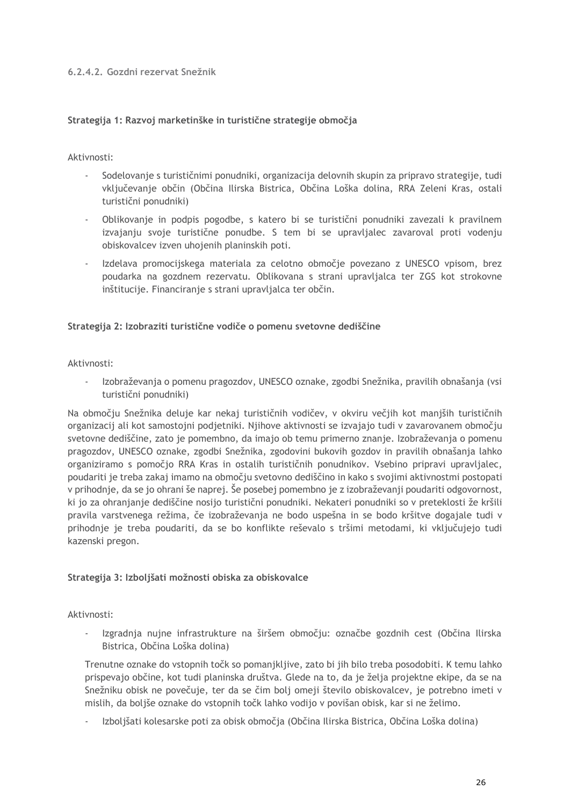#### <span id="page-29-0"></span>**6.2.4.2. Gozdni rezervat Snežnik**

#### **Strategija 1: Razvoj marketinške in turistične strategije območja**

#### Aktivnosti:

- Sodelovanje s turističnimi ponudniki, organizacija delovnih skupin za pripravo strategije, tudi vključevanje občin (Občina Ilirska Bistrica, Občina Loška dolina, RRA Zeleni Kras, ostali turistični ponudniki)
- Oblikovanje in podpis pogodbe, s katero bi se turistični ponudniki zavezali k pravilnem izvajanju svoje turistične ponudbe. S tem bi se upravljalec zavaroval proti vodenju obiskovalcev izven uhojenih planinskih poti.
- Izdelava promocijskega materiala za celotno območje povezano z UNESCO vpisom, brez poudarka na gozdnem rezervatu. Oblikovana s strani upravljalca ter ZGS kot strokovne inštitucije. Financiranje s strani upravljalca ter občin.

#### **Strategija 2: Izobraziti turistične vodiče o pomenu svetovne dediščine**

Aktivnosti:

- Izobraževanja o pomenu pragozdov, UNESCO oznake, zgodbi Snežnika, pravilih obnašanja (vsi turistični ponudniki)

Na območju Snežnika deluje kar nekaj turističnih vodičev, v okviru večjih kot manjših turističnih organizacij ali kot samostojni podjetniki. Njihove aktivnosti se izvajajo tudi v zavarovanem območju svetovne dediščine, zato je pomembno, da imajo ob temu primerno znanje. Izobraževanja o pomenu pragozdov, UNESCO oznake, zgodbi Snežnika, zgodovini bukovih gozdov in pravilih obnašanja lahko organiziramo s pomočjo RRA Kras in ostalih turističnih ponudnikov. Vsebino pripravi upravljalec, poudariti je treba zakaj imamo na območju svetovno dediščino in kako s svojimi aktivnostmi postopati v prihodnje, da se jo ohrani še naprej. Še posebej pomembno je z izobraževanji poudariti odgovornost, ki jo za ohranjanje dediščine nosijo turistični ponudniki. Nekateri ponudniki so v preteklosti že kršili pravila varstvenega režima, če izobraževanja ne bodo uspešna in se bodo kršitve dogajale tudi v prihodnje je treba poudariti, da se bo konflikte reševalo s tršimi metodami, ki vključujejo tudi kazenski pregon.

#### **Strategija 3: Izboljšati možnosti obiska za obiskovalce**

Aktivnosti:

Izgradnja nujne infrastrukture na širšem območju: označbe gozdnih cest (Občina Ilirska Bistrica, Občina Loška dolina)

Trenutne oznake do vstopnih točk so pomanjkljive, zato bi jih bilo treba posodobiti. K temu lahko prispevajo občine, kot tudi planinska društva. Glede na to, da je želja projektne ekipe, da se na Snežniku obisk ne povečuje, ter da se čim bolj omeji število obiskovalcev, je potrebno imeti v mislih, da boljše oznake do vstopnih točk lahko vodijo v povišan obisk, kar si ne želimo.

- Izboljšati kolesarske poti za obisk območja (Občina Ilirska Bistrica, Občina Loška dolina)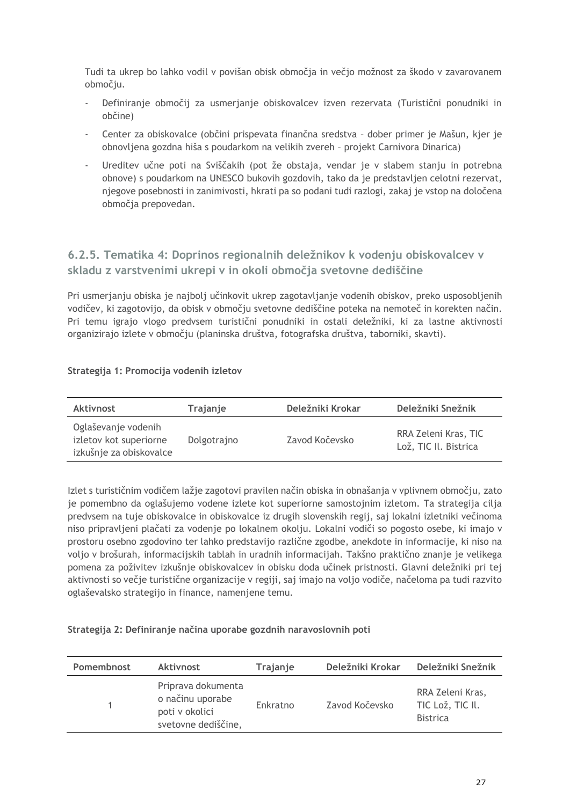Tudi ta ukrep bo lahko vodil v povišan obisk območja in večjo možnost za škodo v zavarovanem območju.

- Definiranje območij za usmerjanje obiskovalcev izven rezervata (Turistični ponudniki in občine)
- Center za obiskovalce (občini prispevata finančna sredstva dober primer je Mašun, kjer je obnovljena gozdna hiša s poudarkom na velikih zvereh – projekt Carnivora Dinarica)
- Ureditev učne poti na Sviščakih (pot že obstaja, vendar je v slabem stanju in potrebna obnove) s poudarkom na UNESCO bukovih gozdovih, tako da je predstavljen celotni rezervat, njegove posebnosti in zanimivosti, hkrati pa so podani tudi razlogi, zakaj je vstop na določena območja prepovedan.

## <span id="page-30-0"></span>**6.2.5. Tematika 4: Doprinos regionalnih deležnikov k vodenju obiskovalcev v skladu z varstvenimi ukrepi v in okoli območja svetovne dediščine**

Pri usmerjanju obiska je najbolj učinkovit ukrep zagotavljanje vodenih obiskov, preko usposobljenih vodičev, ki zagotovijo, da obisk v območju svetovne dediščine poteka na nemoteč in korekten način. Pri temu igrajo vlogo predvsem turistični ponudniki in ostali deležniki, ki za lastne aktivnosti organizirajo izlete v območju (planinska društva, fotografska društva, taborniki, skavti).

#### **Strategija 1: Promocija vodenih izletov**

| Aktivnost                                                                | Trajanje    | Deležniki Krokar | Deležniki Snežnik                             |
|--------------------------------------------------------------------------|-------------|------------------|-----------------------------------------------|
| Oglaševanje vodenih<br>izletov kot superiorne<br>izkušnje za obiskovalce | Dolgotrajno | Zavod Kočevsko   | RRA Zeleni Kras, TIC<br>Lož, TIC II. Bistrica |

Izlet s turističnim vodičem lažje zagotovi pravilen način obiska in obnašanja v vplivnem območju, zato je pomembno da oglašujemo vodene izlete kot superiorne samostojnim izletom. Ta strategija cilja predvsem na tuje obiskovalce in obiskovalce iz drugih slovenskih regij, saj lokalni izletniki večinoma niso pripravljeni plačati za vodenje po lokalnem okolju. Lokalni vodiči so pogosto osebe, ki imajo v prostoru osebno zgodovino ter lahko predstavijo različne zgodbe, anekdote in informacije, ki niso na voljo v brošurah, informacijskih tablah in uradnih informacijah. Takšno praktično znanje je velikega pomena za poživitev izkušnje obiskovalcev in obisku doda učinek pristnosti. Glavni deležniki pri tej aktivnosti so večje turistične organizacije v regiji, saj imajo na voljo vodiče, načeloma pa tudi razvito oglaševalsko strategijo in finance, namenjene temu.

#### **Strategija 2: Definiranje načina uporabe gozdnih naravoslovnih poti**

| Pomembnost | Aktivnost                                                                       | Trajanje | Deležniki Krokar | Deležniki Snežnik                                       |
|------------|---------------------------------------------------------------------------------|----------|------------------|---------------------------------------------------------|
|            | Priprava dokumenta<br>o načinu uporabe<br>poti v okolici<br>svetovne dediščine, | Enkratno | Zavod Kočevsko   | RRA Zeleni Kras,<br>TIC Lož, TIC II.<br><b>Bistrica</b> |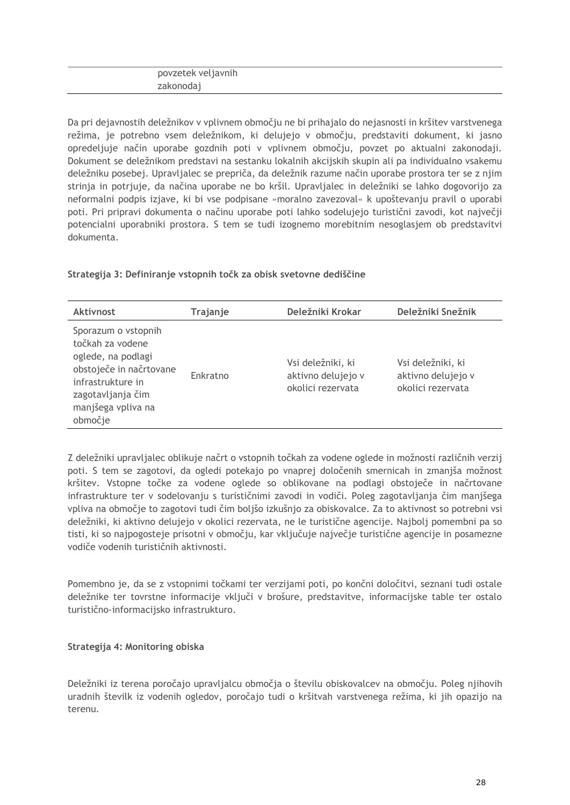## povzetek veljavnih zakonodaj

Da pri dejavnostih deležnikov v vplivnem območju ne bi prihajalo do nejasnosti in kršitev varstvenega režima, je potrebno vsem deležnikom, ki delujejo v območju, predstaviti dokument, ki jasno opredeljuje način uporabe gozdnih poti v vplivnem območju, povzet po aktualni zakonodaji. Dokument se deležnikom predstavi na sestanku lokalnih akcijskih skupin ali pa individualno vsakemu deležniku posebej. Upravljalec se prepriča, da deležnik razume način uporabe prostora ter se z njim strinja in potrjuje, da načina uporabe ne bo kršil. Upravljalec in deležniki se lahko dogovorijo za neformalni podpis izjave, ki bi vse podpisane »moralno zavezoval« k upoštevanju pravil o uporabi poti. Pri pripravi dokumenta o načinu uporabe poti lahko sodelujejo turistični zavodi, kot največji potencialni uporabniki prostora. S tem se tudi izognemo morebitnim nesoglasjem ob predstavitvi dokumenta.

#### **Strategija 3: Definiranje vstopnih točk za obisk svetovne dediščine**

| <b>Aktivnost</b>                                                                                                                                                    | Trajanje | Deležniki Krokar                                             | Deležniki Snežnik                                            |
|---------------------------------------------------------------------------------------------------------------------------------------------------------------------|----------|--------------------------------------------------------------|--------------------------------------------------------------|
| Sporazum o vstopnih<br>točkah za vodene<br>oglede, na podlagi<br>obstoječe in načrtovane<br>infrastrukture in<br>zagotavljanja čim<br>manjšega vpliva na<br>območje | Enkratno | Vsi deležniki, ki<br>aktivno delujejo v<br>okolici rezervata | Vsi deležniki, ki<br>aktivno delujejo v<br>okolici rezervata |

Z deležniki upravljalec oblikuje načrt o vstopnih točkah za vodene oglede in možnosti različnih verzij poti. S tem se zagotovi, da ogledi potekajo po vnaprej določenih smernicah in zmanjša možnost kršitev. Vstopne točke za vodene oglede so oblikovane na podlagi obstoječe in načrtovane infrastrukture ter v sodelovanju s turističnimi zavodi in vodiči. Poleg zagotavljanja čim manjšega vpliva na območje to zagotovi tudi čim boljšo izkušnjo za obiskovalce. Za to aktivnost so potrebni vsi deležniki, ki aktivno delujejo v okolici rezervata, ne le turistične agencije. Najbolj pomembni pa so tisti, ki so najpogosteje prisotni v območju, kar vključuje največje turistične agencije in posamezne vodiče vodenih turističnih aktivnosti.

Pomembno je, da se z vstopnimi točkami ter verzijami poti, po končni določitvi, seznani tudi ostale deležnike ter tovrstne informacije vključi v brošure, predstavitve, informacijske table ter ostalo turistično-informacijsko infrastrukturo.

#### **Strategija 4: Monitoring obiska**

Deležniki iz terena poročajo upravljalcu območja o številu obiskovalcev na območju. Poleg njihovih uradnih številk iz vodenih ogledov, poročajo tudi o kršitvah varstvenega režima, ki jih opazijo na terenu.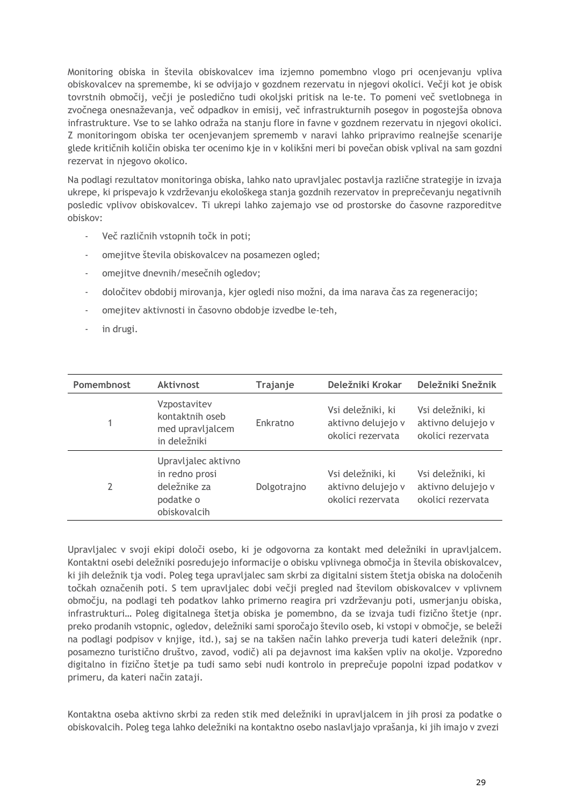Monitoring obiska in števila obiskovalcev ima izjemno pomembno vlogo pri ocenjevanju vpliva obiskovalcev na spremembe, ki se odvijajo v gozdnem rezervatu in njegovi okolici. Večji kot je obisk tovrstnih območij, večji je posledično tudi okoljski pritisk na le-te. To pomeni več svetlobnega in zvočnega onesnaževanja, več odpadkov in emisij, več infrastrukturnih posegov in pogostejša obnova infrastrukture. Vse to se lahko odraža na stanju flore in favne v gozdnem rezervatu in njegovi okolici. Z monitoringom obiska ter ocenjevanjem sprememb v naravi lahko pripravimo realnejše scenarije glede kritičnih količin obiska ter ocenimo kje in v kolikšni meri bi povečan obisk vplival na sam gozdni rezervat in njegovo okolico.

Na podlagi rezultatov monitoringa obiska, lahko nato upravljalec postavlja različne strategije in izvaja ukrepe, ki prispevajo k vzdrževanju ekološkega stanja gozdnih rezervatov in preprečevanju negativnih posledic vplivov obiskovalcev. Ti ukrepi lahko zajemajo vse od prostorske do časovne razporeditve obiskov:

- Več različnih vstopnih točk in poti;
- omejitve števila obiskovalcev na posamezen ogled;
- omejitve dnevnih/mesečnih ogledov;
- določitev obdobij mirovanja, kjer ogledi niso možni, da ima narava čas za regeneracijo;
- omejitev aktivnosti in časovno obdobje izvedbe le-teh,
- in drugi.

| Pomembnost | <b>Aktivnost</b>                                                                   | Trajanje    | Deležniki Krokar                                             | Deležniki Snežnik                                            |
|------------|------------------------------------------------------------------------------------|-------------|--------------------------------------------------------------|--------------------------------------------------------------|
|            | Vzpostavitev<br>kontaktnih oseb<br>med upravljalcem<br>in deležniki                | Enkratno    | Vsi deležniki, ki<br>aktivno delujejo v<br>okolici rezervata | Vsi deležniki, ki<br>aktivno delujejo v<br>okolici rezervata |
| 2          | Upravljalec aktivno<br>in redno prosi<br>deležnike za<br>podatke o<br>obiskovalcih | Dolgotrajno | Vsi deležniki, ki<br>aktivno delujejo v<br>okolici rezervata | Vsi deležniki, ki<br>aktivno delujejo v<br>okolici rezervata |

Upravljalec v svoji ekipi določi osebo, ki je odgovorna za kontakt med deležniki in upravljalcem. Kontaktni osebi deležniki posredujejo informacije o obisku vplivnega območja in števila obiskovalcev, ki jih deležnik tja vodi. Poleg tega upravljalec sam skrbi za digitalni sistem štetja obiska na določenih točkah označenih poti. S tem upravljalec dobi večji pregled nad številom obiskovalcev v vplivnem območju, na podlagi teh podatkov lahko primerno reagira pri vzdrževanju poti, usmerjanju obiska, infrastrukturi… Poleg digitalnega štetja obiska je pomembno, da se izvaja tudi fizično štetje (npr. preko prodanih vstopnic, ogledov, deležniki sami sporočajo število oseb, ki vstopi v območje, se beleži na podlagi podpisov v knjige, itd.), saj se na takšen način lahko preverja tudi kateri deležnik (npr. posamezno turistično društvo, zavod, vodič) ali pa dejavnost ima kakšen vpliv na okolje. Vzporedno digitalno in fizično štetje pa tudi samo sebi nudi kontrolo in preprečuje popolni izpad podatkov v primeru, da kateri način zataji.

Kontaktna oseba aktivno skrbi za reden stik med deležniki in upravljalcem in jih prosi za podatke o obiskovalcih. Poleg tega lahko deležniki na kontaktno osebo naslavljajo vprašanja, ki jih imajo v zvezi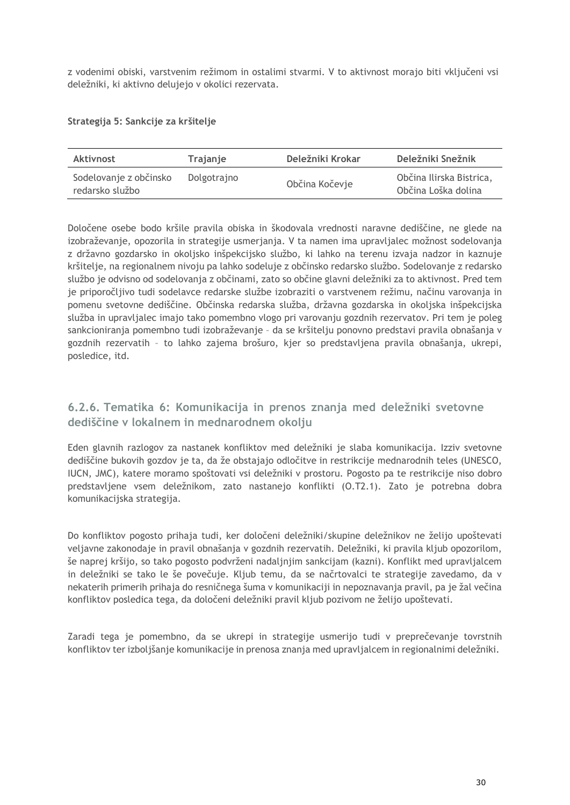z vodenimi obiski, varstvenim režimom in ostalimi stvarmi. V to aktivnost morajo biti vključeni vsi deležniki, ki aktivno delujejo v okolici rezervata.

#### **Strategija 5: Sankcije za kršitelje**

| Aktivnost                                 | Trajanje    | Deležniki Krokar | Deležniki Snežnik                               |
|-------------------------------------------|-------------|------------------|-------------------------------------------------|
| Sodelovanje z občinsko<br>redarsko službo | Dolgotrajno | Občina Kočevje   | Občina Ilirska Bistrica,<br>Občina Loška dolina |

Določene osebe bodo kršile pravila obiska in škodovala vrednosti naravne dediščine, ne glede na izobraževanje, opozorila in strategije usmerjanja. V ta namen ima upravljalec možnost sodelovanja z državno gozdarsko in okoljsko inšpekcijsko službo, ki lahko na terenu izvaja nadzor in kaznuje kršitelje, na regionalnem nivoju pa lahko sodeluje z občinsko redarsko službo. Sodelovanje z redarsko službo je odvisno od sodelovanja z občinami, zato so občine glavni deležniki za to aktivnost. Pred tem je priporočljivo tudi sodelavce redarske službe izobraziti o varstvenem režimu, načinu varovanja in pomenu svetovne dediščine. Občinska redarska služba, državna gozdarska in okoljska inšpekcijska služba in upravljalec imajo tako pomembno vlogo pri varovanju gozdnih rezervatov. Pri tem je poleg sankcioniranja pomembno tudi izobraževanje – da se kršitelju ponovno predstavi pravila obnašanja v gozdnih rezervatih – to lahko zajema brošuro, kjer so predstavljena pravila obnašanja, ukrepi, posledice, itd.

## <span id="page-33-0"></span>**6.2.6. Tematika 6: Komunikacija in prenos znanja med deležniki svetovne dediščine v lokalnem in mednarodnem okolju**

Eden glavnih razlogov za nastanek konfliktov med deležniki je slaba komunikacija. Izziv svetovne dediščine bukovih gozdov je ta, da že obstajajo odločitve in restrikcije mednarodnih teles (UNESCO, IUCN, JMC), katere moramo spoštovati vsi deležniki v prostoru. Pogosto pa te restrikcije niso dobro predstavljene vsem deležnikom, zato nastanejo konflikti (O.T2.1). Zato je potrebna dobra komunikacijska strategija.

Do konfliktov pogosto prihaja tudi, ker določeni deležniki/skupine deležnikov ne želijo upoštevati veljavne zakonodaje in pravil obnašanja v gozdnih rezervatih. Deležniki, ki pravila kljub opozorilom, še naprej kršijo, so tako pogosto podvrženi nadaljnjim sankcijam (kazni). Konflikt med upravljalcem in deležniki se tako le še povečuje. Kljub temu, da se načrtovalci te strategije zavedamo, da v nekaterih primerih prihaja do resničnega šuma v komunikaciji in nepoznavanja pravil, pa je žal večina konfliktov posledica tega, da določeni deležniki pravil kljub pozivom ne želijo upoštevati.

Zaradi tega je pomembno, da se ukrepi in strategije usmerijo tudi v preprečevanje tovrstnih konfliktov ter izboljšanje komunikacije in prenosa znanja med upravljalcem in regionalnimi deležniki.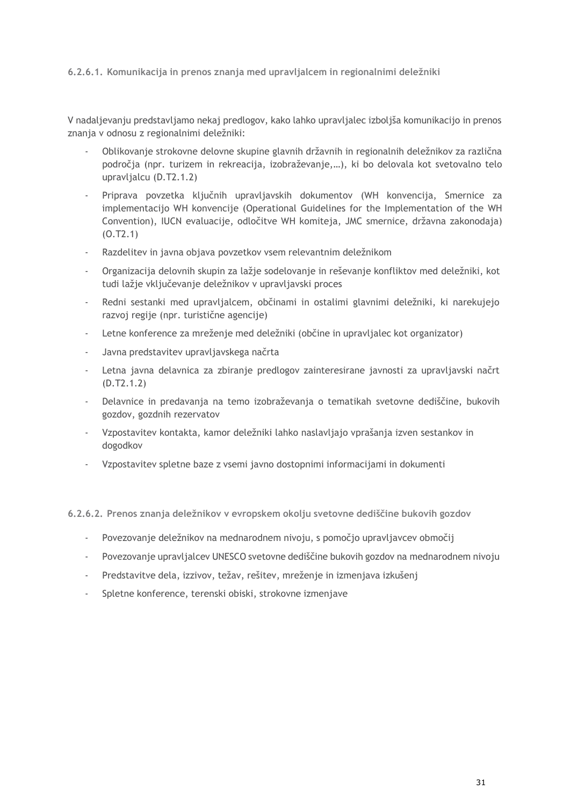#### <span id="page-34-0"></span>**6.2.6.1. Komunikacija in prenos znanja med upravljalcem in regionalnimi deležniki**

V nadaljevanju predstavljamo nekaj predlogov, kako lahko upravljalec izboljša komunikacijo in prenos znanja v odnosu z regionalnimi deležniki:

- Oblikovanje strokovne delovne skupine glavnih državnih in regionalnih deležnikov za različna področja (npr. turizem in rekreacija, izobraževanje,…), ki bo delovala kot svetovalno telo upravljalcu (D.T2.1.2)
- Priprava povzetka ključnih upravljavskih dokumentov (WH konvencija, Smernice za implementacijo WH konvencije (Operational Guidelines for the Implementation of the WH Convention), IUCN evaluacije, odločitve WH komiteja, JMC smernice, državna zakonodaja) (O.T2.1)
- Razdelitev in javna objava povzetkov vsem relevantnim deležnikom
- Organizacija delovnih skupin za lažje sodelovanje in reševanje konfliktov med deležniki, kot tudi lažje vključevanje deležnikov v upravljavski proces
- Redni sestanki med upravljalcem, občinami in ostalimi glavnimi deležniki, ki narekujejo razvoj regije (npr. turistične agencije)
- Letne konference za mreženje med deležniki (občine in upravljalec kot organizator)
- Javna predstavitev upravljavskega načrta
- Letna javna delavnica za zbiranje predlogov zainteresirane javnosti za upravljavski načrt (D.T2.1.2)
- Delavnice in predavanja na temo izobraževanja o tematikah svetovne dediščine, bukovih gozdov, gozdnih rezervatov
- Vzpostavitev kontakta, kamor deležniki lahko naslavljajo vprašanja izven sestankov in dogodkov
- Vzpostavitev spletne baze z vsemi javno dostopnimi informacijami in dokumenti

<span id="page-34-1"></span>**6.2.6.2. Prenos znanja deležnikov v evropskem okolju svetovne dediščine bukovih gozdov**

- Povezovanje deležnikov na mednarodnem nivoju, s pomočjo upravljavcev območij
- Povezovanje upravljalcev UNESCO svetovne dediščine bukovih gozdov na mednarodnem nivoju
- Predstavitve dela, izzivov, težav, rešitev, mreženje in izmenjava izkušenj
- Spletne konference, terenski obiski, strokovne izmenjave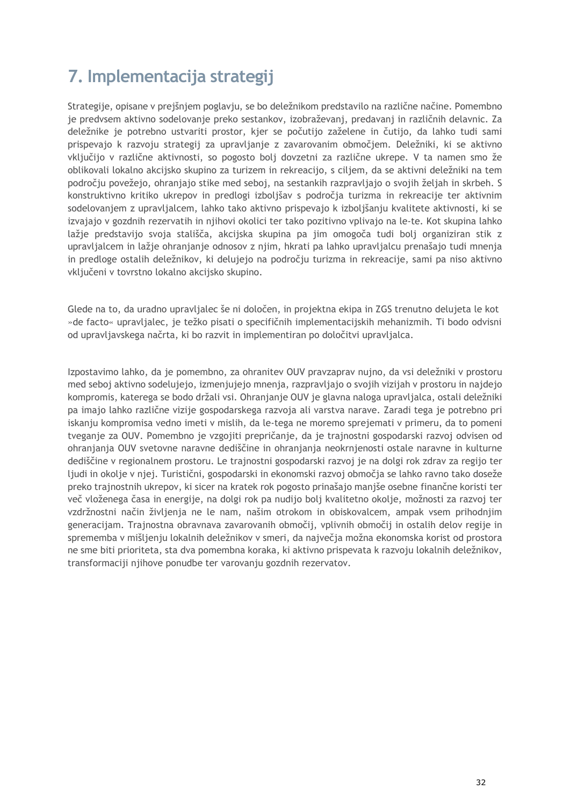## <span id="page-35-0"></span>**7. Implementacija strategij**

Strategije, opisane v prejšnjem poglavju, se bo deležnikom predstavilo na različne načine. Pomembno je predvsem aktivno sodelovanje preko sestankov, izobraževanj, predavanj in različnih delavnic. Za deležnike je potrebno ustvariti prostor, kjer se počutijo zaželene in čutijo, da lahko tudi sami prispevajo k razvoju strategij za upravljanje z zavarovanim območjem. Deležniki, ki se aktivno vključijo v različne aktivnosti, so pogosto bolj dovzetni za različne ukrepe. V ta namen smo že oblikovali lokalno akcijsko skupino za turizem in rekreacijo, s ciljem, da se aktivni deležniki na tem področju povežejo, ohranjajo stike med seboj, na sestankih razpravljajo o svojih željah in skrbeh. S konstruktivno kritiko ukrepov in predlogi izboljšav s področja turizma in rekreacije ter aktivnim sodelovanjem z upravljalcem, lahko tako aktivno prispevajo k izboljšanju kvalitete aktivnosti, ki se izvajajo v gozdnih rezervatih in njihovi okolici ter tako pozitivno vplivajo na le-te. Kot skupina lahko lažje predstavijo svoja stališča, akcijska skupina pa jim omogoča tudi bolj organiziran stik z upravljalcem in lažje ohranjanje odnosov z njim, hkrati pa lahko upravljalcu prenašajo tudi mnenja in predloge ostalih deležnikov, ki delujejo na področju turizma in rekreacije, sami pa niso aktivno vključeni v tovrstno lokalno akcijsko skupino.

Glede na to, da uradno upravljalec še ni določen, in projektna ekipa in ZGS trenutno delujeta le kot »de facto« upravljalec, je težko pisati o specifičnih implementacijskih mehanizmih. Ti bodo odvisni od upravljavskega načrta, ki bo razvit in implementiran po določitvi upravljalca.

Izpostavimo lahko, da je pomembno, za ohranitev OUV pravzaprav nujno, da vsi deležniki v prostoru med seboj aktivno sodelujejo, izmenjujejo mnenja, razpravljajo o svojih vizijah v prostoru in najdejo kompromis, katerega se bodo držali vsi. Ohranjanje OUV je glavna naloga upravljalca, ostali deležniki pa imajo lahko različne vizije gospodarskega razvoja ali varstva narave. Zaradi tega je potrebno pri iskanju kompromisa vedno imeti v mislih, da le-tega ne moremo sprejemati v primeru, da to pomeni tveganje za OUV. Pomembno je vzgojiti prepričanje, da je trajnostni gospodarski razvoj odvisen od ohranjanja OUV svetovne naravne dediščine in ohranjanja neokrnjenosti ostale naravne in kulturne dediščine v regionalnem prostoru. Le trajnostni gospodarski razvoj je na dolgi rok zdrav za regijo ter ljudi in okolje v njej. Turistični, gospodarski in ekonomski razvoj območja se lahko ravno tako doseže preko trajnostnih ukrepov, ki sicer na kratek rok pogosto prinašajo manjše osebne finančne koristi ter več vloženega časa in energije, na dolgi rok pa nudijo bolj kvalitetno okolje, možnosti za razvoj ter vzdržnostni način življenja ne le nam, našim otrokom in obiskovalcem, ampak vsem prihodnjim generacijam. Trajnostna obravnava zavarovanih območij, vplivnih območij in ostalih delov regije in sprememba v mišljenju lokalnih deležnikov v smeri, da največja možna ekonomska korist od prostora ne sme biti prioriteta, sta dva pomembna koraka, ki aktivno prispevata k razvoju lokalnih deležnikov, transformaciji njihove ponudbe ter varovanju gozdnih rezervatov.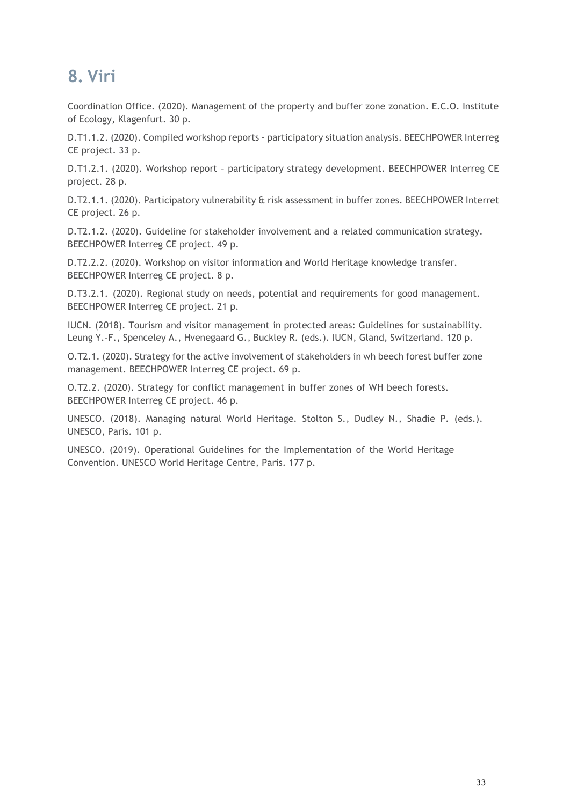## <span id="page-36-0"></span>**8. Viri**

Coordination Office. (2020). Management of the property and buffer zone zonation. E.C.O. Institute of Ecology, Klagenfurt. 30 p.

D.T1.1.2. (2020). Compiled workshop reports - participatory situation analysis. BEECHPOWER Interreg CE project. 33 p.

D.T1.2.1. (2020). Workshop report – participatory strategy development. BEECHPOWER Interreg CE project. 28 p.

D.T2.1.1. (2020). Participatory vulnerability & risk assessment in buffer zones. BEECHPOWER Interret CE project. 26 p.

D.T2.1.2. (2020). Guideline for stakeholder involvement and a related communication strategy. BEECHPOWER Interreg CE project. 49 p.

D.T2.2.2. (2020). Workshop on visitor information and World Heritage knowledge transfer. BEECHPOWER Interreg CE project. 8 p.

D.T3.2.1. (2020). Regional study on needs, potential and requirements for good management. BEECHPOWER Interreg CE project. 21 p.

IUCN. (2018). Tourism and visitor management in protected areas: Guidelines for sustainability. Leung Y.-F., Spenceley A., Hvenegaard G., Buckley R. (eds.). IUCN, Gland, Switzerland. 120 p.

O.T2.1. (2020). Strategy for the active involvement of stakeholders in wh beech forest buffer zone management. BEECHPOWER Interreg CE project. 69 p.

O.T2.2. (2020). Strategy for conflict management in buffer zones of WH beech forests. BEECHPOWER Interreg CE project. 46 p.

UNESCO. (2018). Managing natural World Heritage. Stolton S., Dudley N., Shadie P. (eds.). UNESCO, Paris. 101 p.

UNESCO. (2019). Operational Guidelines for the Implementation of the World Heritage Convention. UNESCO World Heritage Centre, Paris. 177 p.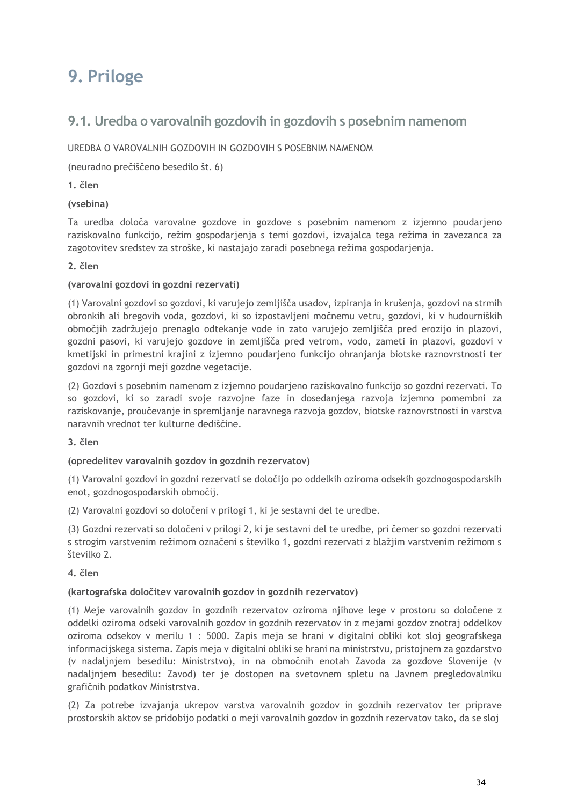## <span id="page-37-0"></span>**9. Priloge**

## <span id="page-37-1"></span>**9.1. Uredba o varovalnih gozdovih in gozdovih s posebnim namenom**

#### UREDBA O VAROVALNIH GOZDOVIH IN GOZDOVIH S POSEBNIM NAMENOM

(neuradno prečiščeno besedilo št. 6)

#### **1. člen**

#### **(vsebina)**

Ta uredba določa varovalne gozdove in gozdove s posebnim namenom z izjemno poudarjeno raziskovalno funkcijo, režim gospodarjenja s temi gozdovi, izvajalca tega režima in zavezanca za zagotovitev sredstev za stroške, ki nastajajo zaradi posebnega režima gospodarjenja.

#### **2. člen**

#### **(varovalni gozdovi in gozdni rezervati)**

(1) Varovalni gozdovi so gozdovi, ki varujejo zemljišča usadov, izpiranja in krušenja, gozdovi na strmih obronkih ali bregovih voda, gozdovi, ki so izpostavljeni močnemu vetru, gozdovi, ki v hudourniških območjih zadržujejo prenaglo odtekanje vode in zato varujejo zemljišča pred erozijo in plazovi, gozdni pasovi, ki varujejo gozdove in zemljišča pred vetrom, vodo, zameti in plazovi, gozdovi v kmetijski in primestni krajini z izjemno poudarjeno funkcijo ohranjanja biotske raznovrstnosti ter gozdovi na zgornji meji gozdne vegetacije.

(2) Gozdovi s posebnim namenom z izjemno poudarjeno raziskovalno funkcijo so gozdni rezervati. To so gozdovi, ki so zaradi svoje razvojne faze in dosedanjega razvoja izjemno pomembni za raziskovanje, proučevanje in spremljanje naravnega razvoja gozdov, biotske raznovrstnosti in varstva naravnih vrednot ter kulturne dediščine.

#### **3. člen**

#### **(opredelitev varovalnih gozdov in gozdnih rezervatov)**

(1) Varovalni gozdovi in gozdni rezervati se določijo po oddelkih oziroma odsekih gozdnogospodarskih enot, gozdnogospodarskih območij.

(2) Varovalni gozdovi so določeni v prilogi 1, ki je sestavni del te uredbe.

(3) Gozdni rezervati so določeni v prilogi 2, ki je sestavni del te uredbe, pri čemer so gozdni rezervati s strogim varstvenim režimom označeni s številko 1, gozdni rezervati z blažjim varstvenim režimom s številko 2.

#### **4. člen**

#### **(kartografska določitev varovalnih gozdov in gozdnih rezervatov)**

(1) Meje varovalnih gozdov in gozdnih rezervatov oziroma njihove lege v prostoru so določene z oddelki oziroma odseki varovalnih gozdov in gozdnih rezervatov in z mejami gozdov znotraj oddelkov oziroma odsekov v merilu 1 : 5000. Zapis meja se hrani v digitalni obliki kot sloj geografskega informacijskega sistema. Zapis meja v digitalni obliki se hrani na ministrstvu, pristojnem za gozdarstvo (v nadaljnjem besedilu: Ministrstvo), in na območnih enotah Zavoda za gozdove Slovenije (v nadaljnjem besedilu: Zavod) ter je dostopen na svetovnem spletu na Javnem pregledovalniku grafičnih podatkov Ministrstva.

(2) Za potrebe izvajanja ukrepov varstva varovalnih gozdov in gozdnih rezervatov ter priprave prostorskih aktov se pridobijo podatki o meji varovalnih gozdov in gozdnih rezervatov tako, da se sloj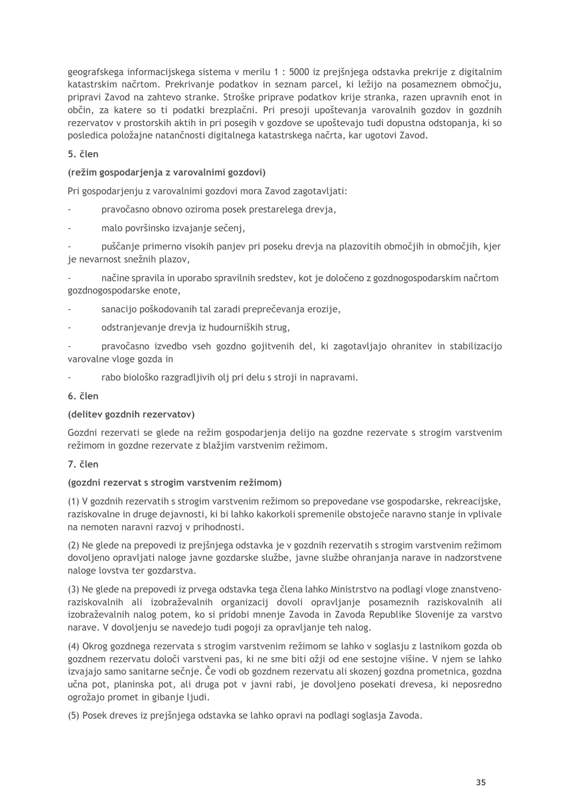geografskega informacijskega sistema v merilu 1 : 5000 iz prejšnjega odstavka prekrije z digitalnim katastrskim načrtom. Prekrivanje podatkov in seznam parcel, ki ležijo na posameznem območju, pripravi Zavod na zahtevo stranke. Stroške priprave podatkov krije stranka, razen upravnih enot in občin, za katere so ti podatki brezplačni. Pri presoji upoštevanja varovalnih gozdov in gozdnih rezervatov v prostorskih aktih in pri posegih v gozdove se upoštevajo tudi dopustna odstopanja, ki so posledica položajne natančnosti digitalnega katastrskega načrta, kar ugotovi Zavod.

#### **5. člen**

#### **(režim gospodarjenja z varovalnimi gozdovi)**

Pri gospodarjenju z varovalnimi gozdovi mora Zavod zagotavljati:

- pravočasno obnovo oziroma posek prestarelega drevja,
- malo površinsko izvajanje sečenj,

- puščanje primerno visokih panjev pri poseku drevja na plazovitih območjih in območjih, kjer je nevarnost snežnih plazov,

- načine spravila in uporabo spravilnih sredstev, kot je določeno z gozdnogospodarskim načrtom gozdnogospodarske enote,

- sanacijo poškodovanih tal zaradi preprečevanja erozije,

odstranjevanje drevja iz hudourniških strug,

- pravočasno izvedbo vseh gozdno gojitvenih del, ki zagotavljajo ohranitev in stabilizacijo varovalne vloge gozda in

rabo biološko razgradljivih olj pri delu s stroji in napravami.

#### **6. člen**

#### **(delitev gozdnih rezervatov)**

Gozdni rezervati se glede na režim gospodarjenja delijo na gozdne rezervate s strogim varstvenim režimom in gozdne rezervate z blažjim varstvenim režimom.

#### **7. člen**

#### **(gozdni rezervat s strogim varstvenim režimom)**

(1) V gozdnih rezervatih s strogim varstvenim režimom so prepovedane vse gospodarske, rekreacijske, raziskovalne in druge dejavnosti, ki bi lahko kakorkoli spremenile obstoječe naravno stanje in vplivale na nemoten naravni razvoj v prihodnosti.

(2) Ne glede na prepovedi iz prejšnjega odstavka je v gozdnih rezervatih s strogim varstvenim režimom dovoljeno opravljati naloge javne gozdarske službe, javne službe ohranjanja narave in nadzorstvene naloge lovstva ter gozdarstva.

(3) Ne glede na prepovedi iz prvega odstavka tega člena lahko Ministrstvo na podlagi vloge znanstvenoraziskovalnih ali izobraževalnih organizacij dovoli opravljanje posameznih raziskovalnih ali izobraževalnih nalog potem, ko si pridobi mnenje Zavoda in Zavoda Republike Slovenije za varstvo narave. V dovoljenju se navedejo tudi pogoji za opravljanje teh nalog.

(4) Okrog gozdnega rezervata s strogim varstvenim režimom se lahko v soglasju z lastnikom gozda ob gozdnem rezervatu določi varstveni pas, ki ne sme biti ožji od ene sestojne višine. V njem se lahko izvajajo samo sanitarne sečnje. Če vodi ob gozdnem rezervatu ali skozenj gozdna prometnica, gozdna učna pot, planinska pot, ali druga pot v javni rabi, je dovoljeno posekati drevesa, ki neposredno ogrožajo promet in gibanje ljudi.

(5) Posek dreves iz prejšnjega odstavka se lahko opravi na podlagi soglasja Zavoda.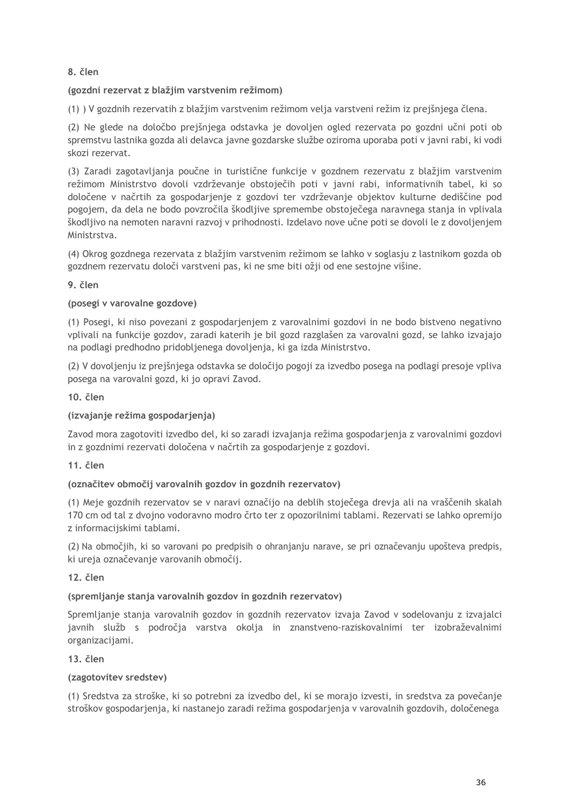#### **8. člen**

#### **(gozdni rezervat z blažjim varstvenim režimom)**

(1) ) V gozdnih rezervatih z blažjim varstvenim režimom velja varstveni režim iz prejšnjega člena.

(2) Ne glede na določbo prejšnjega odstavka je dovoljen ogled rezervata po gozdni učni poti ob spremstvu lastnika gozda ali delavca javne gozdarske službe oziroma uporaba poti v javni rabi, ki vodi skozi rezervat.

(3) Zaradi zagotavljanja poučne in turistične funkcije v gozdnem rezervatu z blažjim varstvenim režimom Ministrstvo dovoli vzdrževanje obstoječih poti v javni rabi, informativnih tabel, ki so določene v načrtih za gospodarjenje z gozdovi ter vzdrževanje objektov kulturne dediščine pod pogojem, da dela ne bodo povzročila škodljive spremembe obstoječega naravnega stanja in vplivala škodljivo na nemoten naravni razvoj v prihodnosti. Izdelavo nove učne poti se dovoli le z dovoljenjem Ministrstva.

(4) Okrog gozdnega rezervata z blažjim varstvenim režimom se lahko v soglasju z lastnikom gozda ob gozdnem rezervatu določi varstveni pas, ki ne sme biti ožji od ene sestojne višine.

#### **9. člen**

#### **(posegi v varovalne gozdove)**

(1) Posegi, ki niso povezani z gospodarjenjem z varovalnimi gozdovi in ne bodo bistveno negativno vplivali na funkcije gozdov, zaradi katerih je bil gozd razglašen za varovalni gozd, se lahko izvajajo na podlagi predhodno pridobljenega dovoljenja, ki ga izda Ministrstvo.

(2) V dovoljenju iz prejšnjega odstavka se določijo pogoji za izvedbo posega na podlagi presoje vpliva posega na varovalni gozd, ki jo opravi Zavod.

#### **10. člen**

#### **(izvajanje režima gospodarjenja)**

Zavod mora zagotoviti izvedbo del, ki so zaradi izvajanja režima gospodarjenja z varovalnimi gozdovi in z gozdnimi rezervati določena v načrtih za gospodarjenje z gozdovi.

#### **11. člen**

#### **(označitev območij varovalnih gozdov in gozdnih rezervatov)**

(1) Meje gozdnih rezervatov se v naravi označijo na deblih stoječega drevja ali na vraščenih skalah 170 cm od tal z dvojno vodoravno modro črto ter z opozorilnimi tablami. Rezervati se lahko opremijo z informacijskimi tablami.

(2) Na območjih, ki so varovani po predpisih o ohranjanju narave, se pri označevanju upošteva predpis, ki ureja označevanje varovanih območij.

**12. člen**

#### **(spremljanje stanja varovalnih gozdov in gozdnih rezervatov)**

Spremljanje stanja varovalnih gozdov in gozdnih rezervatov izvaja Zavod v sodelovanju z izvajalci javnih služb s področja varstva okolja in znanstveno-raziskovalnimi ter izobraževalnimi organizacijami.

#### **13. člen**

#### **(zagotovitev sredstev)**

(1) Sredstva za stroške, ki so potrebni za izvedbo del, ki se morajo izvesti, in sredstva za povečanje stroškov gospodarjenja, ki nastanejo zaradi režima gospodarjenja v varovalnih gozdovih, določenega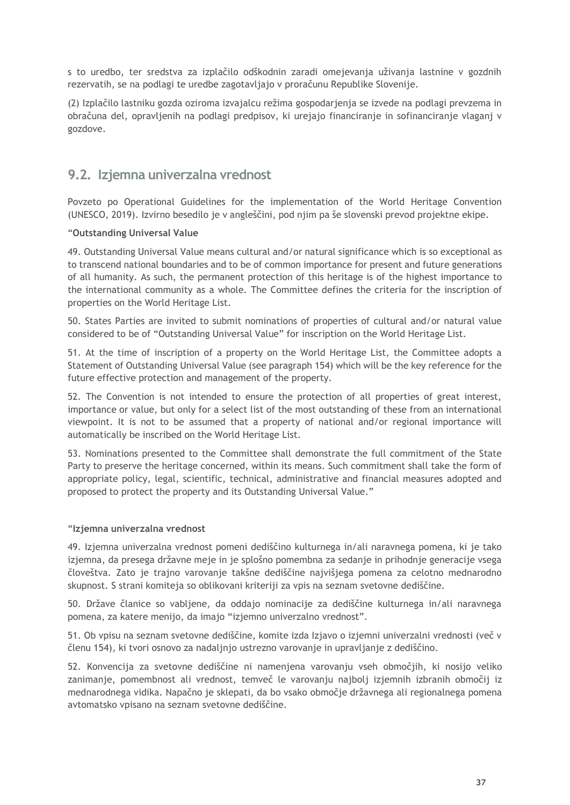s to uredbo, ter sredstva za izplačilo odškodnin zaradi omejevanja uživanja lastnine v gozdnih rezervatih, se na podlagi te uredbe zagotavljajo v proračunu Republike Slovenije.

(2) Izplačilo lastniku gozda oziroma izvajalcu režima gospodarjenja se izvede na podlagi prevzema in obračuna del, opravljenih na podlagi predpisov, ki urejajo financiranje in sofinanciranje vlaganj v gozdove.

## <span id="page-40-0"></span>**9.2. Izjemna univerzalna vrednost**

Povzeto po Operational Guidelines for the implementation of the World Heritage Convention (UNESCO, 2019). Izvirno besedilo je v angleščini, pod njim pa še slovenski prevod projektne ekipe.

#### "**Outstanding Universal Value**

49. Outstanding Universal Value means cultural and/or natural significance which is so exceptional as to transcend national boundaries and to be of common importance for present and future generations of all humanity. As such, the permanent protection of this heritage is of the highest importance to the international community as a whole. The Committee defines the criteria for the inscription of properties on the World Heritage List.

50. States Parties are invited to submit nominations of properties of cultural and/or natural value considered to be of "Outstanding Universal Value" for inscription on the World Heritage List.

51. At the time of inscription of a property on the World Heritage List, the Committee adopts a Statement of Outstanding Universal Value (see paragraph 154) which will be the key reference for the future effective protection and management of the property.

52. The Convention is not intended to ensure the protection of all properties of great interest, importance or value, but only for a select list of the most outstanding of these from an international viewpoint. It is not to be assumed that a property of national and/or regional importance will automatically be inscribed on the World Heritage List.

53. Nominations presented to the Committee shall demonstrate the full commitment of the State Party to preserve the heritage concerned, within its means. Such commitment shall take the form of appropriate policy, legal, scientific, technical, administrative and financial measures adopted and proposed to protect the property and its Outstanding Universal Value."

#### "**Izjemna univerzalna vrednost**

49. Izjemna univerzalna vrednost pomeni dediščino kulturnega in/ali naravnega pomena, ki je tako izjemna, da presega državne meje in je splošno pomembna za sedanje in prihodnje generacije vsega človeštva. Zato je trajno varovanje takšne dediščine najvišjega pomena za celotno mednarodno skupnost. S strani komiteja so oblikovani kriteriji za vpis na seznam svetovne dediščine.

50. Države članice so vabljene, da oddajo nominacije za dediščine kulturnega in/ali naravnega pomena, za katere menijo, da imajo "izjemno univerzalno vrednost".

51. Ob vpisu na seznam svetovne dediščine, komite izda Izjavo o izjemni univerzalni vrednosti (več v členu 154), ki tvori osnovo za nadaljnjo ustrezno varovanje in upravljanje z dediščino.

52. Konvencija za svetovne dediščine ni namenjena varovanju vseh območjih, ki nosijo veliko zanimanje, pomembnost ali vrednost, temveč le varovanju najbolj izjemnih izbranih območij iz mednarodnega vidika. Napačno je sklepati, da bo vsako območje državnega ali regionalnega pomena avtomatsko vpisano na seznam svetovne dediščine.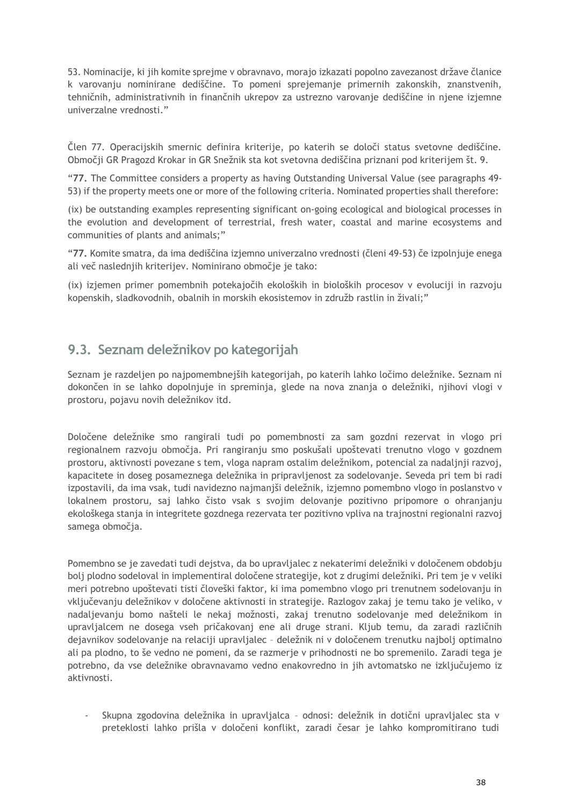53. Nominacije, ki jih komite sprejme v obravnavo, morajo izkazati popolno zavezanost države članice k varovanju nominirane dediščine. To pomeni sprejemanje primernih zakonskih, znanstvenih, tehničnih, administrativnih in finančnih ukrepov za ustrezno varovanje dediščine in njene izjemne univerzalne vrednosti."

Člen 77. Operacijskih smernic definira kriterije, po katerih se določi status svetovne dediščine. Območji GR Pragozd Krokar in GR Snežnik sta kot svetovna dediščina priznani pod kriterijem št. 9.

"**77.** The Committee considers a property as having Outstanding Universal Value (see paragraphs 49- 53) if the property meets one or more of the following criteria. Nominated properties shall therefore:

(ix) be outstanding examples representing significant on-going ecological and biological processes in the evolution and development of terrestrial, fresh water, coastal and marine ecosystems and communities of plants and animals;"

"**77.** Komite smatra, da ima dediščina izjemno univerzalno vrednosti (členi 49-53) če izpolnjuje enega ali več naslednjih kriterijev. Nominirano območje je tako:

(ix) izjemen primer pomembnih potekajočih ekoloških in bioloških procesov v evoluciji in razvoju kopenskih, sladkovodnih, obalnih in morskih ekosistemov in združb rastlin in živali;"

## <span id="page-41-0"></span>**9.3. Seznam deležnikov po kategorijah**

Seznam je razdeljen po najpomembnejših kategorijah, po katerih lahko ločimo deležnike. Seznam ni dokončen in se lahko dopolnjuje in spreminja, glede na nova znanja o deležniki, njihovi vlogi v prostoru, pojavu novih deležnikov itd.

Določene deležnike smo rangirali tudi po pomembnosti za sam gozdni rezervat in vlogo pri regionalnem razvoju območja. Pri rangiranju smo poskušali upoštevati trenutno vlogo v gozdnem prostoru, aktivnosti povezane s tem, vloga napram ostalim deležnikom, potencial za nadaljnji razvoj, kapacitete in doseg posameznega deležnika in pripravljenost za sodelovanje. Seveda pri tem bi radi izpostavili, da ima vsak, tudi navidezno najmanjši deležnik, izjemno pomembno vlogo in poslanstvo v lokalnem prostoru, saj lahko čisto vsak s svojim delovanje pozitivno pripomore o ohranjanju ekološkega stanja in integritete gozdnega rezervata ter pozitivno vpliva na trajnostni regionalni razvoj samega območja.

Pomembno se je zavedati tudi dejstva, da bo upravljalec z nekaterimi deležniki v določenem obdobju bolj plodno sodeloval in implementiral določene strategije, kot z drugimi deležniki. Pri tem je v veliki meri potrebno upoštevati tisti človeški faktor, ki ima pomembno vlogo pri trenutnem sodelovanju in vključevanju deležnikov v določene aktivnosti in strategije. Razlogov zakaj je temu tako je veliko, v nadaljevanju bomo našteli le nekaj možnosti, zakaj trenutno sodelovanje med deležnikom in upravljalcem ne dosega vseh pričakovanj ene ali druge strani. Kljub temu, da zaradi različnih dejavnikov sodelovanje na relaciji upravljalec – deležnik ni v določenem trenutku najbolj optimalno ali pa plodno, to še vedno ne pomeni, da se razmerje v prihodnosti ne bo spremenilo. Zaradi tega je potrebno, da vse deležnike obravnavamo vedno enakovredno in jih avtomatsko ne izključujemo iz aktivnosti.

- Skupna zgodovina deležnika in upravljalca – odnosi: deležnik in dotični upravljalec sta v preteklosti lahko prišla v določeni konflikt, zaradi česar je lahko kompromitirano tudi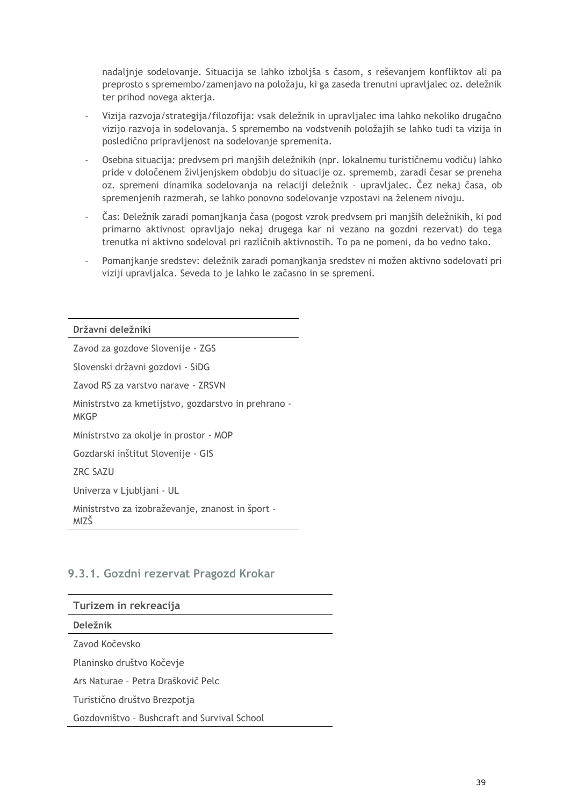nadaljnje sodelovanje. Situacija se lahko izboljša s časom, s reševanjem konfliktov ali pa preprosto s spremembo/zamenjavo na položaju, ki ga zaseda trenutni upravljalec oz. deležnik ter prihod novega akterja.

- Vizija razvoja/strategija/filozofija: vsak deležnik in upravljalec ima lahko nekoliko drugačno vizijo razvoja in sodelovanja. S spremembo na vodstvenih položajih se lahko tudi ta vizija in posledično pripravljenost na sodelovanje spremenita.
- Osebna situacija: predvsem pri manjših deležnikih (npr. lokalnemu turističnemu vodiču) lahko pride v določenem življenjskem obdobju do situacije oz. sprememb, zaradi česar se preneha oz. spremeni dinamika sodelovanja na relaciji deležnik – upravljalec. Čez nekaj časa, ob spremenjenih razmerah, se lahko ponovno sodelovanje vzpostavi na želenem nivoju.
- Čas: Deležnik zaradi pomanjkanja časa (pogost vzrok predvsem pri manjših deležnikih, ki pod primarno aktivnost opravljajo nekaj drugega kar ni vezano na gozdni rezervat) do tega trenutka ni aktivno sodeloval pri različnih aktivnostih. To pa ne pomeni, da bo vedno tako.
- Pomanjkanje sredstev: deležnik zaradi pomanjkanja sredstev ni možen aktivno sodelovati pri viziji upravljalca. Seveda to je lahko le začasno in se spremeni.

**Državni deležniki** Zavod za gozdove Slovenije - ZGS Slovenski državni gozdovi - SiDG Zavod RS za varstvo narave - ZRSVN Ministrstvo za kmetijstvo, gozdarstvo in prehrano - **MKGP** Ministrstvo za okolje in prostor - MOP Gozdarski inštitut Slovenije - GIS ZRC SAZU Univerza v Ljubljani - UL Ministrstvo za izobraževanje, znanost in šport - MIZŠ

### <span id="page-42-0"></span>**9.3.1. Gozdni rezervat Pragozd Krokar**

| Turizem in rekreacija                        |
|----------------------------------------------|
| <b>Deležnik</b>                              |
| Zavod Kočevsko                               |
| Planinsko društvo Kočevje                    |
| Ars Naturae - Petra Draškovič Pelc           |
| Turistično društvo Brezpotja                 |
| Gozdovništvo - Bushcraft and Survival School |
|                                              |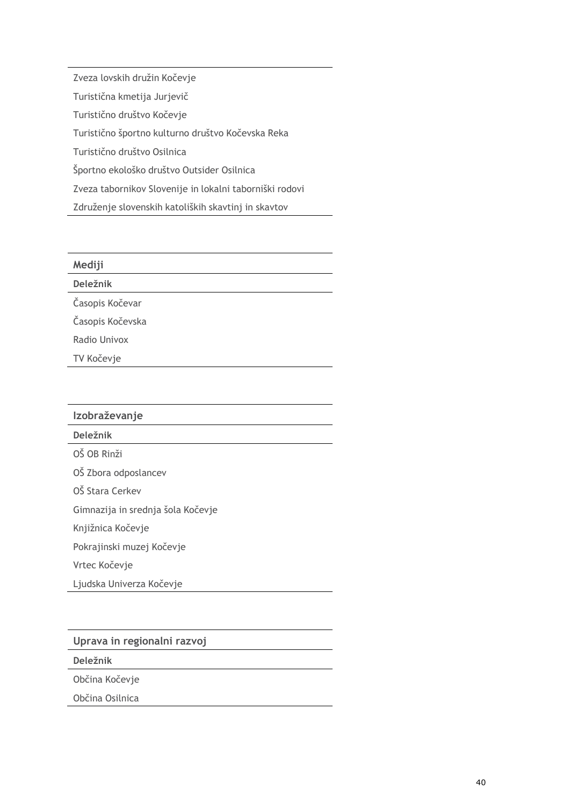Zveza lovskih družin Kočevje Turistična kmetija Jurjevič Turistično društvo Kočevje Turistično športno kulturno društvo Kočevska Reka Turistično društvo Osilnica Športno ekološko društvo Outsider Osilnica Zveza tabornikov Slovenije in lokalni taborniški rodovi Združenje slovenskih katoliških skavtinj in skavtov

| Mediji           |
|------------------|
| <b>Deležnik</b>  |
| Časopis Kočevar  |
| Časopis Kočevska |
| Radio Univox     |
| TV Kočevje       |

| Izobraževanje                     |
|-----------------------------------|
| Deležnik                          |
| OŠ OB Rinži                       |
| OŠ Zbora odposlancev              |
| OŠ Stara Cerkev                   |
| Gimnazija in srednja šola Kočevje |
| Knjižnica Kočevje                 |
| Pokrajinski muzej Kočevje         |
| Vrtec Kočevje                     |
| Ljudska Univerza Kočevje          |
|                                   |

**Uprava in regionalni razvoj**

**Deležnik**

Občina Kočevje

Občina Osilnica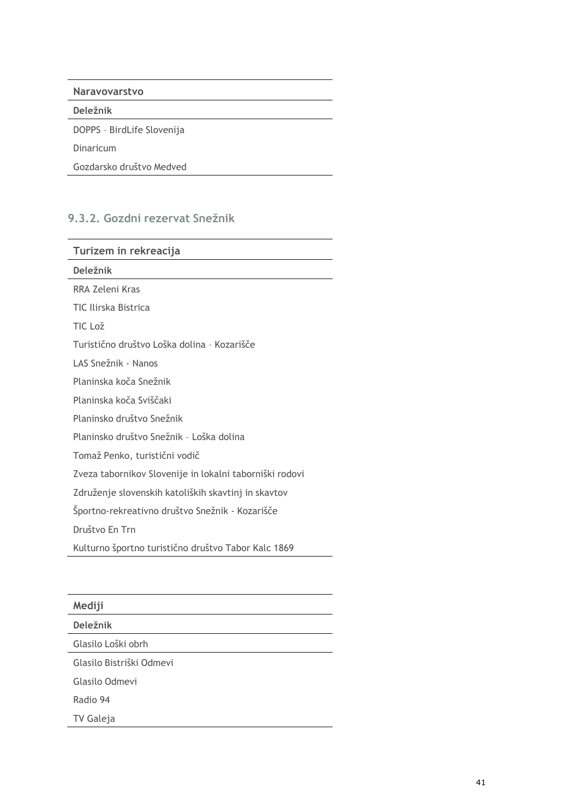| <b>Naravovarstvo</b>       |  |
|----------------------------|--|
| Deležnik                   |  |
| DOPPS - BirdLife Slovenija |  |
| Dinaricum                  |  |
| Gozdarsko društvo Medved   |  |

## <span id="page-44-0"></span>**9.3.2. Gozdni rezervat Snežnik**

| Turizem in rekreacija                                   |
|---------------------------------------------------------|
| Deležnik                                                |
| RRA Zeleni Kras                                         |
| TIC Ilirska Bistrica                                    |
| TIC Lož                                                 |
| Turistično društvo Loška dolina - Kozarišče             |
| LAS Snežnik - Nanos                                     |
| Planinska koča Snežnik                                  |
| Planinska koča Sviščaki                                 |
| Planinsko društvo Snežnik                               |
| Planinsko društvo Snežnik - Loška dolina                |
| Tomaž Penko, turistični vodič                           |
| Zveza tabornikov Slovenije in lokalni taborniški rodovi |
| Združenje slovenskih katoliških skavtinj in skavtov     |
| Športno-rekreativno društvo Snežnik - Kozarišče         |
| Društvo En Trn                                          |
| Kulturno športno turistično društvo Tabor Kalc 1869     |

| Mediji                   |  |
|--------------------------|--|
| <b>Deležnik</b>          |  |
| Glasilo Loški obrh       |  |
| Glasilo Bistriški Odmevi |  |
| Glasilo Odmevi           |  |
| Radio 94                 |  |
| TV Galeja                |  |
|                          |  |